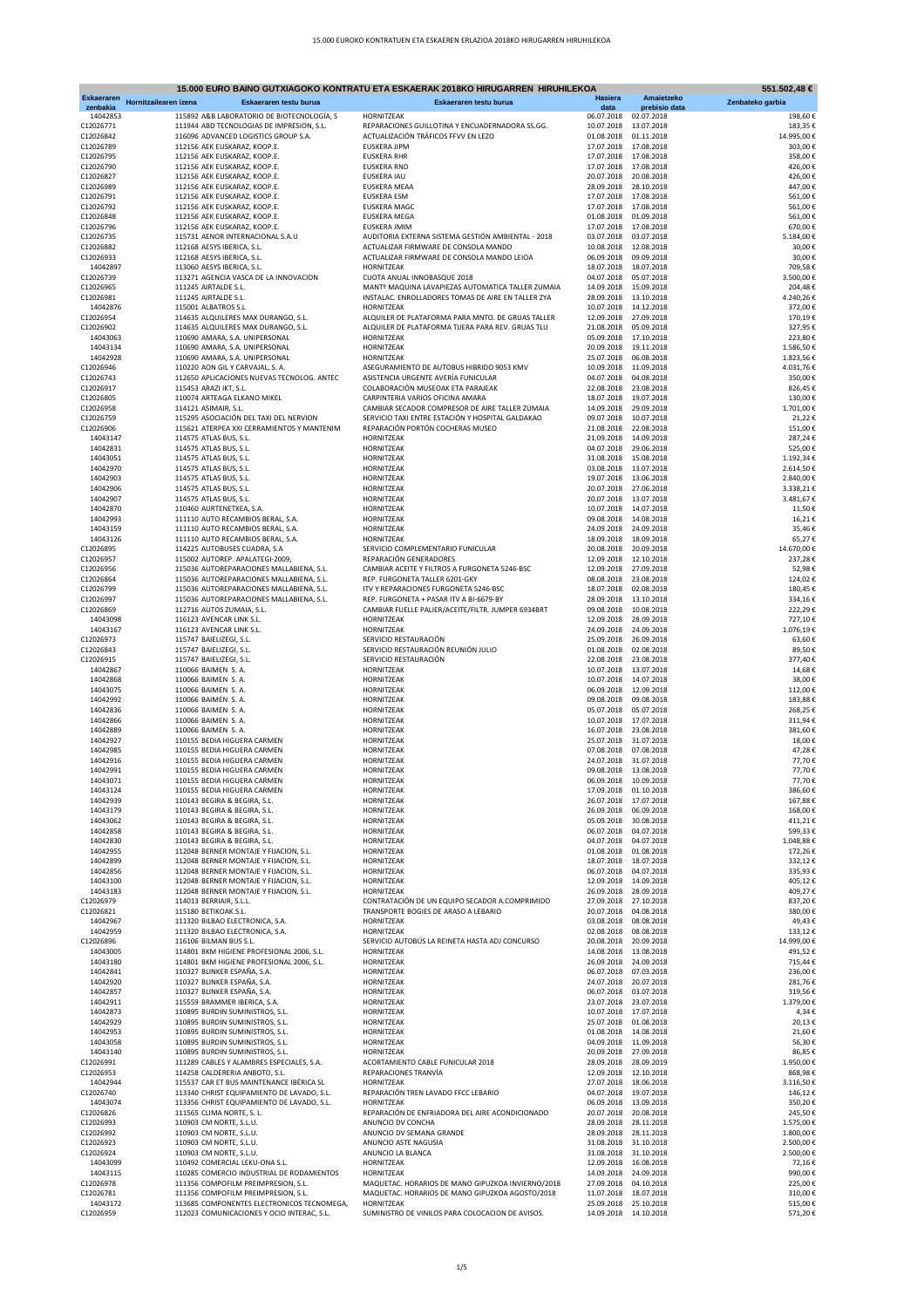|                        |                                                 | 15.000 EURO BAINO GUTXIAGOKO KONTRATU ETA ESKAERAK 2018KO HIRUGARREN HIRUHILEKOA                        |                          |                          | 551.502,48 €     |
|------------------------|-------------------------------------------------|---------------------------------------------------------------------------------------------------------|--------------------------|--------------------------|------------------|
| <b>Eskaeraren</b>      | Hornitzailearen izena<br>Eskaeraren testu burua | Eskaeraren testu burua                                                                                  | <b>Hasiera</b>           | Amaietzeko               | Zenbateko garbia |
| zenbakia               |                                                 |                                                                                                         | data                     | prebisio data            |                  |
| 14042853               | 115892 A&B LABORATORIO DE BIOTECNOLOGÍA, S      | HORNITZEAK                                                                                              | 06.07.2018               | 02.07.2018               | 198,60€          |
| C12026771              | 111944 ABD TECNOLOGIAS DE IMPRESION, S.L.       | REPARACIONES GUILLOTINA Y ENCUADERNADORA SS.GG.                                                         | 10.07.2018               | 13.07.2018               | 183,35€          |
| C12026842              | 116096 ADVANCED LOGISTICS GROUP S.A.            | ACTUALIZACIÓN TRÁFICOS FFVV EN LEZO                                                                     | 01.08.2018               | 01.11.2018               | 14.995,00€       |
| C12026789              | 112156 AEK EUSKARAZ, KOOP.E.                    | <b>EUSKERA JIPM</b>                                                                                     | 17.07.2018               | 17.08.2018               | 303,00€          |
| C12026795              | 112156 AEK EUSKARAZ, KOOP.E.                    | <b>EUSKERA RHR</b>                                                                                      | 17.07.2018               | 17.08.2018               | 358,00€          |
| C12026790              | 112156 AEK EUSKARAZ, KOOP.E.                    | <b>EUSKERA RND</b>                                                                                      | 17.07.2018               | 17.08.2018               | 426,00€          |
| C12026827<br>C12026989 | 112156 AEK EUSKARAZ, KOOP.E.                    | EUSKERA IAU                                                                                             | 20.07.2018               | 20.08.2018<br>28.10.2018 | 426,00€          |
|                        | 112156 AEK EUSKARAZ, KOOP.E.                    | EUSKERA MEAA                                                                                            | 28.09.2018               | 17.08.2018               | 447,00€          |
| C12026791              | 112156 AEK EUSKARAZ, KOOP.E.                    | <b>EUSKERA ESM</b>                                                                                      | 17.07.2018               |                          | 561,00€          |
| C12026792              | 112156 AEK EUSKARAZ, KOOP.E.                    | EUSKERA MAGC                                                                                            | 17.07.2018               | 17.08.2018               | 561,00€          |
| C12026848              | 112156 AEK EUSKARAZ, KOOP.E.                    | EUSKERA MEGA                                                                                            | 01.08.2018               | 01.09.2018               | 561,00€          |
| C12026796              | 112156 AEK EUSKARAZ, KOOP.E.                    | EUSKERA JMIM                                                                                            | 17.07.2018               | 17.08.2018               | 670,00€          |
| C12026735              | 115731 AENOR INTERNACIONAL S.A.U                | AUDITORIA EXTERNA SISTEMA GESTIÓN AMBIENTAL - 2018                                                      | 03.07.2018               | 03.07.2018               | 5.184,00€        |
| C12026882              | 112168 AESYS IBERICA, S.L.                      | ACTUALIZAR FIRMWARE DE CONSOLA MANDO<br>ACTUALIZAR FIRMWARE DE CONSOLA MANDO LEIOA                      | 10.08.2018               | 12.08.2018<br>09.09.2018 | 30,00€           |
| C12026933              | 112168 AESYS IBERICA, S.L.                      |                                                                                                         | 06.09.2018               |                          | 30,00€           |
| 14042897               | 113060 AESYS IBERICA, S.L.                      | HORNITZEAK                                                                                              | 18.07.2018               | 18.07.2018               | 709,58€          |
| C12026739<br>C12026965 | 113271 AGENCIA VASCA DE LA INNOVACION           | CUOTA ANUAL INNOBASQUE 2018                                                                             | 04.07.2018               | 05.07.2018<br>15.09.2018 | 3.500,00€        |
|                        | 111245 AIRTALDE S.L.                            | MANTº MAQUINA LAVAPIEZAS AUTOMATICA TALLER ZUMAIA<br>INSTALAC. ENROLLADORES TOMAS DE AIRE EN TALLER ZYA | 14.09.2018               |                          | 204,48€          |
| C12026981<br>14042876  | 111245 AIRTALDE S.L.                            |                                                                                                         | 28.09.2018 13.10.2018    |                          | 4.240,26€        |
|                        | 115001 ALBATROS S.L                             | HORNITZEAK                                                                                              | 10.07.2018               | 14.12.2018               | 372,00€          |
| C12026954              | 114635 ALQUILERES MAX DURANGO, S.L.             | ALQUILER DE PLATAFORMA PARA MNTO. DE GRUAS TALLER                                                       | 12.09.2018<br>21.08.2018 | 27.09.2018               | 170,19€          |
| C12026902              | 114635 ALQUILERES MAX DURANGO, S.L.             | ALQUILER DE PLATAFORMA TIJERA PARA REV. GRUAS TLU<br>HORNITZEAK                                         |                          | 05.09.2018               | 327,95€          |
| 14043063               | 110690 AMARA, S.A. UNIPERSONAL                  |                                                                                                         | 05.09.2018               | 17.10.2018               | 223,80€          |
| 14043134               | 110690 AMARA, S.A. UNIPERSONAL                  | HORNITZEAK                                                                                              | 20.09.2018               | 19.11.2018               | 1.586,50€        |
| 14042928               | 110690 AMARA, S.A. UNIPERSONAL                  | HORNITZEAK                                                                                              | 25.07.2018               | 06.08.2018               | 1.823,56€        |
| C12026946              | 110220 AON GIL Y CARVAJAL, S. A.                | ASEGURAMIENTO DE AUTOBUS HIBRIDO 9053 KMV                                                               | 10.09.2018               | 11.09.2018               | 4.031,76€        |
| C12026743              | 112650 APLICACIONES NUEVAS TECNOLOG. ANTEC      | ASISTENCIA URGENTE AVERÍA FUNICULAR                                                                     | 04.07.2018               | 04.08.2018               | 350,00€          |
| C12026917              | 115453 ARAZI IKT, S.L.                          | COLABORACIÓN MUSEOAK ETA PARAJEAK                                                                       | 22.08.2018               | 23.08.2018               | 826,45€          |
| C12026805              | 110074 ARTEAGA ELKANO MIKEL                     | CARPINTERIA VARIOS OFICINA AMARA                                                                        | 18.07.2018               | 19.07.2018               | 130,00€          |
| C12026958              | 114121 ASIMAIR, S.L.                            | CAMBIAR SECADOR COMPRESOR DE AIRE TALLER ZUMAIA                                                         | 14.09.2018               | 29.09.2018               | 1.701,00€        |
| C12026759              | 115295 ASOCIACIÓN DEL TAXI DEL NERVION          | SERVICIO TAXI ENTRE ESTACIÓN Y HOSPITAL GALDAKAO                                                        | 09.07.2018               | 10.07.2018               | 21,22€           |
| C12026906              | 115621 ATERPEA XXI CERRAMIENTOS Y MANTENIM      | REPARACIÓN PORTÓN COCHERAS MUSEO                                                                        | 21.08.2018               | 22.08.2018               | 151,00€          |
| 14043147               | 114575 ATLAS BUS, S.L.                          | HORNITZEAK                                                                                              | 21.09.2018               | 14.09.2018               | 287,24€          |
| 14042831               | 114575 ATLAS BUS, S.L.                          | HORNITZEAK                                                                                              | 04.07.2018               | 29.06.2018               | 525,00€          |
| 14043051               | 114575 ATLAS BUS, S.L.                          | HORNITZEAK                                                                                              | 31.08.2018               | 15.08.2018               | 1.192,34 €       |
| 14042970               | 114575 ATLAS BUS, S.L.                          | HORNITZEAK                                                                                              | 03.08.2018               | 13.07.2018               | 2.614,50€        |
| 14042903               | 114575 ATLAS BUS, S.L.                          | HORNITZEAK                                                                                              | 19.07.2018               | 13.06.2018               | 2.840,00€        |
| 14042906               | 114575 ATLAS BUS, S.L.                          | HORNITZEAK                                                                                              | 20.07.2018               | 27.06.2018               | 3.338,21€        |
| 14042907               | 114575 ATLAS BUS, S.L.                          | HORNITZEAK                                                                                              | 20.07.2018               | 13.07.2018               | 3.481,67€        |
| 14042870               | 110460 AURTENETXEA, S.A.                        | HORNITZEAK                                                                                              | 10.07.2018               | 14.07.2018               | 11,50€           |
| 14042993               | 111110 AUTO RECAMBIOS BERAL, S.A.               | HORNITZEAK                                                                                              | 09.08.2018               | 14.08.2018               | 16,21€           |
| 14043159               | 111110 AUTO RECAMBIOS BERAL, S.A.               | HORNITZEAK                                                                                              | 24.09.2018               | 24.09.2018               | 35,46€           |
| 14043126               | 111110 AUTO RECAMBIOS BERAL, S.A.               | HORNITZEAK                                                                                              | 18.09.2018               | 18.09.2018               | 65,27€           |
| C12026895              | 114225 AUTOBUSES CUADRA, S.A                    | SERVICIO COMPLEMENTARIO FUNICULAR                                                                       | 20.08.2018               | 20.09.2018               | 14.670,00€       |
| C12026957              | 115002 AUTOREP. APALATEGI-2009,                 | REPARACIÓN GENERADORES                                                                                  | 12.09.2018               | 12.10.2018               | 237,28€          |
| C12026956              | 115036 AUTOREPARACIONES MALLABIENA, S.L.        | CAMBIAR ACEITE Y FILTROS A FURGONETA 5246-BSC                                                           | 12.09.2018 27.09.2018    |                          | 52,98€           |
| C12026864              | 115036 AUTOREPARACIONES MALLABIENA, S.L.        | REP. FURGONETA TALLER 6201-GKY                                                                          | 08.08.2018               | 23.08.2018               | 124,02€          |
| C12026799              | 115036 AUTOREPARACIONES MALLABIENA, S.L.        | ITV Y REPARACIONES FURGONETA 5246-BSC                                                                   | 18.07.2018               | 02.08.2018               | 180,45€          |
| C12026997              | 115036 AUTOREPARACIONES MALLABIENA, S.L.        | REP. FURGONETA + PASAR ITV A BI-6679-BY                                                                 | 28.09.2018               | 13.10.2018               | 334,16€          |
| C12026869              | 112716 AUTOS ZUMAIA, S.L.                       | CAMBIAR FUELLE PALIER/ACEITE/FILTR. JUMPER 6934BRT                                                      | 09.08.2018               | 10.08.2018               | 222,29€          |
| 14043098               | 116123 AVENCAR LINK S.L.                        | HORNITZEAK                                                                                              | 12.09.2018               | 28.09.2018               | 727,10€          |
| 14043167               | 116123 AVENCAR LINK S.L.                        | HORNITZEAK                                                                                              | 24.09.2018               | 24.09.2018               | 1.076,19€        |
| C12026973              | 115747 BAIELIZEGI, S.L.                         | SERVICIO RESTAURACIÓN                                                                                   | 25.09.2018               | 26.09.2018               | 63,60€           |
| C12026843              | 115747 BAIELIZEGI, S.L.                         | SERVICIO RESTAURACIÓN REUNIÓN JULIO                                                                     | 01.08.2018               | 02.08.2018               | 89,50€           |
| C12026915              | 115747 BAIELIZEGI, S.L.                         | SERVICIO RESTAURACIÓN                                                                                   | 22.08.2018               | 23.08.2018               | 377,40€          |
| 14042867               | 110066 BAIMEN S.A.                              | HORNITZEAK                                                                                              | 10.07.2018               | 13.07.2018               | 14,68€           |
| 14042868               | 110066 BAIMEN S.A.                              | HORNITZEAK                                                                                              | 10.07.2018 14.07.2018    |                          | 38,00€           |
| 14043075               | 110066 BAIMEN S. A.                             | HORNITZEAK                                                                                              | 06.09.2018 12.09.2018    |                          | 112,00€          |
| 14042992               | 110066 BAIMEN S. A.                             | HORNITZEAK                                                                                              | 09.08.2018               | 09.08.2018               | 183,88€          |
| 14042836               | 110066 BAIMEN S.A.                              | HORNITZEAK                                                                                              | 05.07.2018               | 05.07.2018               | 268,25€          |
| 14042866               | 110066 BAIMEN S.A.                              | HORNITZEAK                                                                                              | 10.07.2018               | 17.07.2018               | 311,94€          |
| 14042889               | 110066 BAIMEN S.A.                              | HORNITZEAK                                                                                              | 16.07.2018 23.08.2018    |                          | 381,60€          |
| 14042927               | 110155 BEDIA HIGUERA CARMEN                     | HORNITZEAK                                                                                              | 25.07.2018 31.07.2018    |                          | 18,00€           |
| 14042985               | 110155 BEDIA HIGUERA CARMEN                     | HORNITZEAK                                                                                              | 07.08.2018               | 07.08.2018               | 47,28€           |
| 14042916               | 110155 BEDIA HIGUERA CARMEN                     | HORNITZEAK                                                                                              | 24.07.2018 31.07.2018    |                          | 77,70€           |
| 14042991               | 110155 BEDIA HIGUERA CARMEN                     | HORNITZEAK                                                                                              | 09.08.2018 13.08.2018    |                          | 77,70€           |
| 14043071               | 110155 BEDIA HIGUERA CARMEN                     | HORNITZEAK                                                                                              |                          | 06.09.2018 10.09.2018    | 77,70€           |
| 14043124               | 110155 BEDIA HIGUERA CARMEN                     | HORNITZEAK                                                                                              | 17.09.2018 01.10.2018    |                          | 386,60€          |
| 14042939               | 110143 BEGIRA & BEGIRA, S.L.                    | HORNITZEAK                                                                                              | 26.07.2018 17.07.2018    |                          | 167,88€          |
| 14043179               | 110143 BEGIRA & BEGIRA, S.L.                    | HORNITZEAK                                                                                              | 26.09.2018  06.09.2018   |                          | 168,00€          |
| 14043062               | 110143 BEGIRA & BEGIRA, S.L.                    | HORNITZEAK                                                                                              | 05.09.2018               | 30.08.2018               | 411,21€          |
| 14042858               | 110143 BEGIRA & BEGIRA, S.L.                    | HORNITZEAK                                                                                              | 06.07.2018               | 04.07.2018               | 599,33€          |
| 14042830               | 110143 BEGIRA & BEGIRA, S.L.                    | HORNITZEAK                                                                                              | 04.07.2018               | 04.07.2018               | 1.048,88€        |
| 14042955               | 112048 BERNER MONTAJE Y FIJACION, S.L.          | HORNITZEAK                                                                                              | 01.08.2018               | 01.08.2018               | 172,26€          |
| 14042899               | 112048 BERNER MONTAJE Y FIJACION, S.L.          | HORNITZEAK                                                                                              | 18.07.2018 18.07.2018    |                          | 332,12€          |
| 14042856               | 112048 BERNER MONTAJE Y FIJACION, S.L.          | HORNITZEAK                                                                                              | 06.07.2018               | 04.07.2018               | 335,93€          |
| 14043100               | 112048 BERNER MONTAJE Y FIJACION, S.L.          | HORNITZEAK                                                                                              | 12.09.2018               | 14.09.2018               | 405,12€          |
| 14043183               | 112048 BERNER MONTAJE Y FIJACION, S.L.          | HORNITZEAK                                                                                              | 26.09.2018               | 28.09.2018               | 409,27€          |
| C12026979              | 114013 BERRIAIR, S.L.L.                         | CONTRATACIÓN DE UN EQUIPO SECADOR A.COMPRIMIDO                                                          | 27.09.2018               | 27.10.2018               | 837,20€          |
| C12026821              | 115180 BETIKOAK.S.L.                            | TRANSPORTE BOGIES DE ARASO A LEBARIO                                                                    | 20.07.2018               | 04.08.2018               | 380.00€          |
| 14042967               | 111320 BILBAO ELECTRONICA, S.A.                 | HORNITZEAK                                                                                              | 03.08.2018 08.08.2018    |                          | 49,43€           |
| 14042959               | 111320 BILBAO ELECTRONICA, S.A.                 | HORNITZEAK                                                                                              | 02.08.2018 08.08.2018    |                          | 133,12€          |
| C12026896              | 116106 BILMAN BUS S.L.                          | SERVICIO AUTOBÚS LA REINETA HASTA ADJ CONCURSO                                                          |                          | 20.08.2018 20.09.2018    | 14.999,00€       |
| 14043005               | 114801 BKM HIGIENE PROFESIONAL 2006, S.L.       | HORNITZEAK                                                                                              | 14.08.2018 13.08.2018    |                          | 491,52€          |
| 14043180               | 114801 BKM HIGIENE PROFESIONAL 2006, S.L.       | HORNITZEAK                                                                                              | 26.09.2018 24.09.2018    |                          | 715,44€          |
| 14042841               | 110327 BLINKER ESPAÑA, S.A.                     | HORNITZEAK                                                                                              |                          | 06.07.2018 07.03.2018    | 236,00€          |
| 14042920               | 110327 BLINKER ESPAÑA, S.A.                     | HORNITZEAK                                                                                              | 24.07.2018 20.07.2018    |                          | 281,76€          |
| 14042857               | 110327 BLINKER ESPAÑA, S.A.                     | HORNITZEAK                                                                                              | 06.07.2018 03.07.2018    |                          | 319,56€          |
| 14042911               | 115559 BRAMMER IBERICA, S.A.                    | HORNITZEAK                                                                                              | 23.07.2018 23.07.2018    |                          | 1.379,00€        |
| 14042873               | 110895 BURDIN SUMINISTROS, S.L.                 | HORNITZEAK                                                                                              | 10.07.2018 17.07.2018    |                          | 4,34€            |
| 14042929               | 110895 BURDIN SUMINISTROS, S.L.                 | HORNITZEAK                                                                                              | 25.07.2018               | 01.08.2018               | 20,13€           |
| 14042953               | 110895 BURDIN SUMINISTROS, S.L.                 | HORNITZEAK                                                                                              | 01.08.2018               | 14.08.2018               | 21,60€           |
| 14043058               | 110895 BURDIN SUMINISTROS, S.L.                 | HORNITZEAK                                                                                              | 04.09.2018 11.09.2018    |                          | 56,30€           |
| 14043140               | 110895 BURDIN SUMINISTROS, S.L.                 | HORNITZEAK                                                                                              | 20.09.2018 27.09.2018    |                          | 86,85€           |
| C12026991              | 111289 CABLES Y ALAMBRES ESPECIALES, S.A.       | ACORTAMIENTO CABLE FUNICULAR 2018                                                                       | 28.09.2018 28.09.2019    |                          | 1.950,00€        |
| C12026953              | 114258 CALDERERIA ANBOTO, S.L.                  | REPARACIONES TRANVÍA                                                                                    | 12.09.2018 12.10.2018    |                          | 868,98€          |
| 14042944               | 115537 CAR ET BUS MAINTENANCE IBÉRICA SL        | HORNITZEAK                                                                                              | 27.07.2018 18.06.2018    |                          | 3.116,50€        |
| C12026740              | 113340 CHRIST EQUIPAMIENTO DE LAVADO, S.L.      | REPARACIÓN TREN LAVADO FFCC LEBARIO                                                                     | 04.07.2018               | 19.07.2018               | 146,12€          |
| 14043074               | 113356 CHRIST EQUIPAMIENTO DE LAVADO, S.L.      | HORNITZEAK                                                                                              |                          | 06.09.2018 13.09.2018    | 350,20€          |
| C12026826              | 111565 CLIMA NORTE, S. L.                       | REPARACIÓN DE ENFRIADORA DEL AIRE ACONDICIONADO                                                         | 20.07.2018 20.08.2018    |                          | 245,50€          |
| C12026993              | 110903 CM NORTE, S.L.U.                         | ANUNCIO DV CONCHA                                                                                       | 28.09.2018 28.11.2018    |                          | 1.575,00€        |
| C12026992              | 110903 CM NORTE, S.L.U.                         | ANUNCIO DV SEMANA GRANDE                                                                                | 28.09.2018 28.11.2018    |                          | 1.800,00€        |
| C12026923              | 110903 CM NORTE, S.L.U.                         | ANUNCIO ASTE NAGUSIA                                                                                    | 31.08.2018 31.10.2018    |                          | 2.500,00€        |
| C12026924              | 110903 CM NORTE, S.L.U.                         | ANUNCIO LA BLANCA                                                                                       |                          | 31.08.2018 31.10.2018    | 2.500,00€        |
| 14043099               | 110492 COMERCIAL LEKU-ONA S.L.                  | HORNITZEAK                                                                                              | 12.09.2018 16.08.2018    |                          | 72,16€           |
| 14043115               | 110285 COMERCIO INDUSTRIAL DE RODAMIENTOS       | HORNITZEAK                                                                                              | 14.09.2018 24.09.2018    |                          | 990,00€          |
| C12026978              | 111356 COMPOFILM PREIMPRESION, S.L.             | MAQUETAC. HORARIOS DE MANO GIPUZKOA INVIERNO/2018                                                       | 27.09.2018  04.10.2018   |                          | 225,00€          |
| C12026781              | 111356 COMPOFILM PREIMPRESION, S.L.             | MAQUETAC. HORARIOS DE MANO GIPUZKOA AGOSTO/2018                                                         | 11.07.2018 18.07.2018    |                          | 310,00€          |
| 14043172               | 113685 COMPONENTES ELECTRONICOS TECNOMEGA,      | HORNITZEAK                                                                                              | 25.09.2018 25.10.2018    |                          | 515,00€          |
| C12026959              | 112023 COMUNICACIONES Y OCIO INTERAC, S.L.      | SUMINISTRO DE VINILOS PARA COLOCACION DE AVISOS.                                                        |                          | 14.09.2018 14.10.2018    | 571,20€          |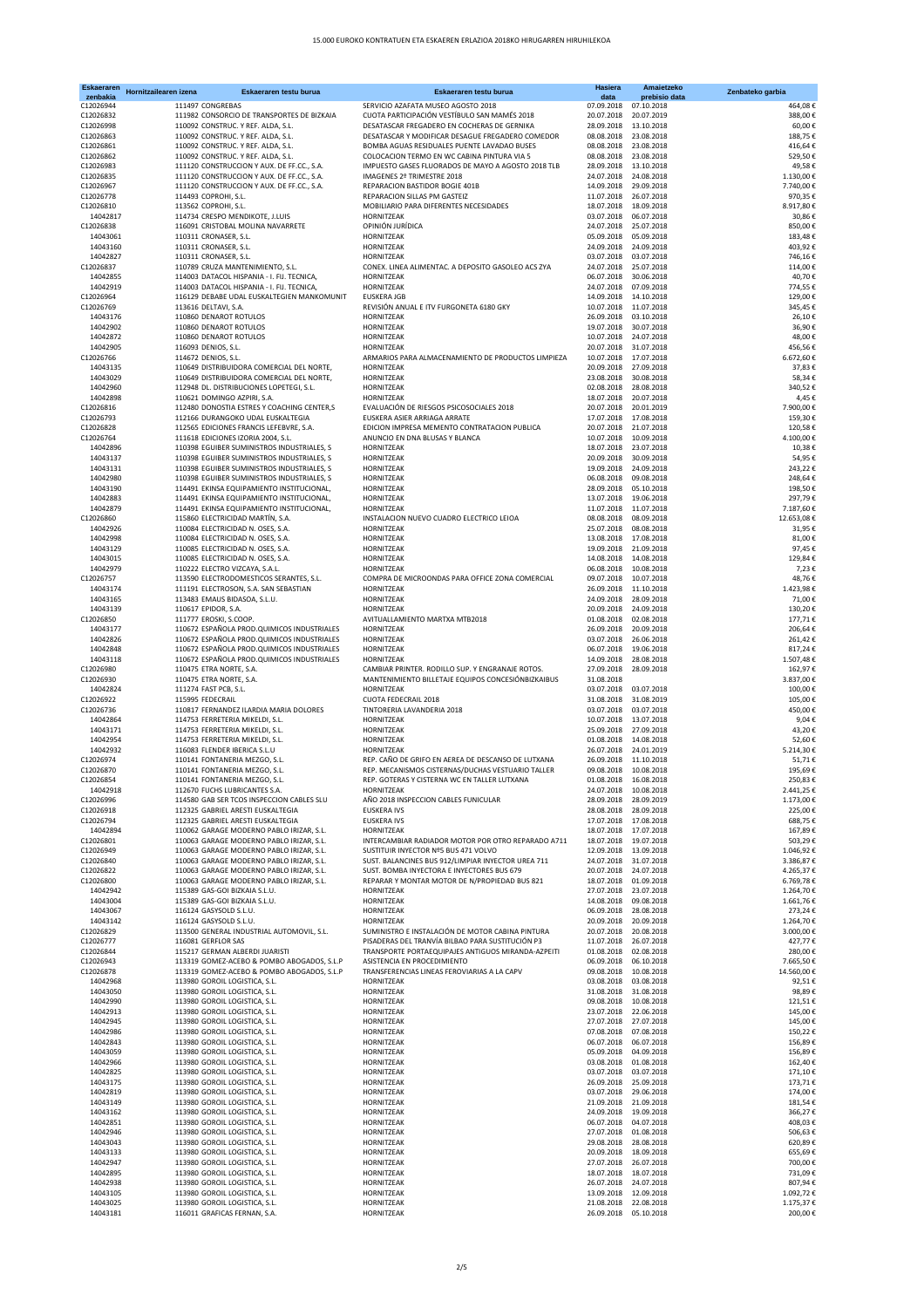| <b>Eskaeraren</b><br>zenbakia | Hornitzailearen izena | Eskaeraren testu burua                                                                   | Eskaeraren testu burua                                                                          | Hasiera<br>data                                | Amaietzeko<br>prebisio data | Zenbateko garbia       |
|-------------------------------|-----------------------|------------------------------------------------------------------------------------------|-------------------------------------------------------------------------------------------------|------------------------------------------------|-----------------------------|------------------------|
| C12026944                     |                       | 111497 CONGREBAS                                                                         | SERVICIO AZAFATA MUSEO AGOSTO 2018                                                              | 07.09.2018                                     | 07.10.2018                  | 464,08€                |
| C12026832                     |                       | 111982 CONSORCIO DE TRANSPORTES DE BIZKAIA                                               | CUOTA PARTICIPACIÓN VESTÍBULO SAN MAMÉS 2018                                                    | 20.07.2018                                     | 20.07.2019<br>13.10.2018    | 388,00€                |
| C12026998<br>C12026863        |                       | 110092 CONSTRUC. Y REF. ALDA, S.L.<br>110092 CONSTRUC. Y REF. ALDA, S.L.                 | DESATASCAR FREGADERO EN COCHERAS DE GERNIKA<br>DESATASCAR Y MODIFICAR DESAGUE FREGADERO COMEDOR | 28.09.2018<br>08.08.2018                       | 23.08.2018                  | 60,00€<br>188,75€      |
| C12026861                     |                       | 110092 CONSTRUC. Y REF. ALDA, S.L.                                                       | BOMBA AGUAS RESIDUALES PUENTE LAVADAO BUSES                                                     | 08.08.2018                                     | 23.08.2018                  | 416,64€                |
| C12026862                     |                       | 110092 CONSTRUC. Y REF. ALDA, S.L.                                                       | COLOCACION TERMO EN WC CABINA PINTURA VIA 5                                                     | 08.08.2018                                     | 23.08.2018                  | 529,50€                |
| C12026983<br>C12026835        |                       | 111120 CONSTRUCCION Y AUX. DE FF.CC., S.A.                                               | IMPUESTO GASES FLUORADOS DE MAYO A AGOSTO 2018 TLB<br>IMAGENES 2º TRIMESTRE 2018                | 28.09.2018<br>24.07.2018                       | 13.10.2018<br>24.08.2018    | 49,58€<br>1.130,00€    |
| C12026967                     |                       | 111120 CONSTRUCCION Y AUX. DE FF.CC., S.A.<br>111120 CONSTRUCCION Y AUX. DE FF.CC., S.A. | REPARACION BASTIDOR BOGIE 401B                                                                  | 14.09.2018                                     | 29.09.2018                  | 7.740.00€              |
| C12026778                     |                       | 114493 COPROHI, S.L.                                                                     | REPARACION SILLAS PM GASTEIZ                                                                    | 11.07.2018                                     | 26.07.2018                  | 970,35€                |
| C12026810                     |                       | 113562 COPROHI, S.L.                                                                     | MOBILIARIO PARA DIFERENTES NECESIDADES                                                          | 18.07.2018                                     | 18.09.2018                  | 8.917,80€              |
| 14042817<br>C12026838         |                       | 114734 CRESPO MENDIKOTE, J.LUIS<br>116091 CRISTOBAL MOLINA NAVARRETE                     | HORNITZEAK<br>OPINIÓN JURÍDICA                                                                  | 03.07.2018   06.07.2018<br>24.07.2018          | 25.07.2018                  | 30,86€<br>850,00€      |
| 14043061                      |                       | 110311 CRONASER, S.L.                                                                    | HORNITZEAK                                                                                      | 05.09.2018                                     | 05.09.2018                  | 183,48€                |
| 14043160                      |                       | 110311 CRONASER, S.L.                                                                    | HORNITZEAK                                                                                      | 24.09.2018                                     | 24.09.2018                  | 403,92€                |
| 14042827                      |                       | 110311 CRONASER, S.L.                                                                    | HORNITZEAK                                                                                      | 03.07.2018                                     | 03.07.2018                  | 746,16€                |
| C12026837<br>14042855         |                       | 110789 CRUZA MANTENIMIENTO, S.L.<br>114003 DATACOL HISPANIA - I. FIJ. TECNICA,           | CONEX. LINEA ALIMENTAC. A DEPOSITO GASOLEO ACS ZYA<br>HORNITZEAK                                | 24.07.2018<br>06.07.2018                       | 25.07.2018<br>30.06.2018    | 114,00€<br>40,70€      |
| 14042919                      |                       | 114003 DATACOL HISPANIA - I. FIJ. TECNICA,                                               | HORNITZEAK                                                                                      | 24.07.2018                                     | 07.09.2018                  | 774,55€                |
| C12026964                     |                       | 116129 DEBABE UDAL EUSKALTEGIEN MANKOMUNIT                                               | EUSKERA JGB                                                                                     | 14.09.2018                                     | 14.10.2018                  | 129,00€                |
| C12026769<br>14043176         |                       | 113616 DELTAVI, S.A.<br>110860 DENAROT ROTULOS                                           | REVISIÓN ANUAL E ITV FURGONETA 6180 GKY<br>HORNITZEAK                                           | 10.07.2018<br>26.09.2018                       | 11.07.2018<br>03.10.2018    | 345,45€<br>26,10€      |
| 14042902                      |                       | 110860 DENAROT ROTULOS                                                                   | HORNITZEAK                                                                                      | 19.07.2018                                     | 30.07.2018                  | 36,90€                 |
| 14042872                      |                       | 110860 DENAROT ROTULOS                                                                   | HORNITZEAK                                                                                      | 10.07.2018                                     | 24.07.2018                  | 48,00€                 |
| 14042905                      |                       | 116093 DENIOS, S.L.                                                                      | HORNITZEAK                                                                                      | 20.07.2018                                     | 31.07.2018                  | 456,56€                |
| C12026766<br>14043135         |                       | 114672 DENIOS, S.L.<br>110649 DISTRIBUIDORA COMERCIAL DEL NORTE,                         | ARMARIOS PARA ALMACENAMIENTO DE PRODUCTOS LIMPIEZA<br>HORNITZEAK                                | 10.07.2018<br>20.09.2018                       | 17.07.2018<br>27.09.2018    | 6.672,60€<br>37,83€    |
| 14043029                      |                       | 110649 DISTRIBUIDORA COMERCIAL DEL NORTE,                                                | HORNITZEAK                                                                                      | 23.08.2018                                     | 30.08.2018                  | 58,34€                 |
| 14042960                      |                       | 112948 DL. DISTRIBUCIONES LOPETEGI, S.L.                                                 | HORNITZEAK                                                                                      | 02.08.2018                                     | 28.08.2018                  | 340.52€                |
| 14042898                      |                       | 110621 DOMINGO AZPIRI, S.A.<br>112480 DONOSTIA ESTRES Y COACHING CENTER,S                | HORNITZEAK                                                                                      | 18.07.2018 20.07.2018                          |                             | 4,45€                  |
| C12026816<br>C12026793        |                       | 112166 DURANGOKO UDAL EUSKALTEGIA                                                        | EVALUACIÓN DE RIESGOS PSICOSOCIALES 2018<br>EUSKERA ASIER ARRIAGA ARRATE                        | 20.07.2018<br>17.07.2018                       | 20.01.2019<br>17.08.2018    | 7.900,00€<br>159,30€   |
| C12026828                     |                       | 112565 EDICIONES FRANCIS LEFEBVRE, S.A.                                                  | EDICION IMPRESA MEMENTO CONTRATACION PUBLICA                                                    | 20.07.2018                                     | 21.07.2018                  | 120,58€                |
| C12026764                     |                       | 111618 EDICIONES IZORIA 2004, S.L.                                                       | ANUNCIO EN DNA BLUSAS Y BLANCA                                                                  | 10.07.2018                                     | 10.09.2018                  | 4.100,00€              |
| 14042896                      |                       | 110398 EGUIBER SUMINISTROS INDUSTRIALES, S                                               | HORNITZEAK<br>HORNITZEAK                                                                        | 18.07.2018                                     | 23.07.2018                  | 10,38€                 |
| 14043137<br>14043131          |                       | 110398 EGUIBER SUMINISTROS INDUSTRIALES, S<br>110398 EGUIBER SUMINISTROS INDUSTRIALES, S | HORNITZEAK                                                                                      | 20.09.2018<br>19.09.2018                       | 30.09.2018<br>24.09.2018    | 54,95€<br>243,22€      |
| 14042980                      |                       | 110398 EGUIBER SUMINISTROS INDUSTRIALES, S                                               | HORNITZEAK                                                                                      | 06.08.2018                                     | 09.08.2018                  | 248,64€                |
| 14043190                      |                       | 114491 EKINSA EQUIPAMIENTO INSTITUCIONAL,                                                | HORNITZEAK                                                                                      | 28.09.2018                                     | 05.10.2018                  | 198,50€                |
| 14042883<br>14042879          |                       | 114491 EKINSA EQUIPAMIENTO INSTITUCIONAL,<br>114491 EKINSA EQUIPAMIENTO INSTITUCIONAL,   | HORNITZEAK<br>HORNITZEAK                                                                        | 13.07.2018<br>11.07.2018                       | 19.06.2018<br>11.07.2018    | 297,79€<br>7.187,60€   |
| C12026860                     |                       | 115860 ELECTRICIDAD MARTÍN, S.A.                                                         | INSTALACION NUEVO CUADRO ELECTRICO LEIOA                                                        | 08.08.2018                                     | 08.09.2018                  | 12.653,08€             |
| 14042926                      |                       | 110084 ELECTRICIDAD N. OSES, S.A.                                                        | HORNITZEAK                                                                                      | 25.07.2018                                     | 08.08.2018                  | 31,95€                 |
| 14042998                      |                       | 110084 ELECTRICIDAD N. OSES, S.A.                                                        | HORNITZEAK                                                                                      | 13.08.2018                                     | 17.08.2018                  | 81,00€                 |
| 14043129<br>14043015          |                       | 110085 ELECTRICIDAD N. OSES, S.A.<br>110085 ELECTRICIDAD N. OSES, S.A.                   | HORNITZEAK<br>HORNITZEAK                                                                        | 19.09.2018<br>14.08.2018                       | 21.09.2018<br>14.08.2018    | 97,45€<br>129,84€      |
| 14042979                      |                       | 110222 ELECTRO VIZCAYA, S.A.L.                                                           | HORNITZEAK                                                                                      | 06.08.2018                                     | 10.08.2018                  | 7,23€                  |
| C12026757                     |                       | 113590 ELECTRODOMESTICOS SERANTES, S.L.                                                  | COMPRA DE MICROONDAS PARA OFFICE ZONA COMERCIAL                                                 | 09.07.2018                                     | 10.07.2018                  | 48,76€                 |
| 14043174                      |                       | 111191 ELECTROSON, S.A. SAN SEBASTIAN                                                    | HORNITZEAK                                                                                      | 26.09.2018 11.10.2018                          |                             | 1.423,98€              |
| 14043165<br>14043139          |                       | 113483 EMAUS BIDASOA, S.L.U.<br>110617 EPIDOR, S.A.                                      | HORNITZEAK<br><b>HORNITZFAK</b>                                                                 | 24.09.2018 28.09.2018<br>20.09.2018 24.09.2018 |                             | 71,00€<br>130,20€      |
| C12026850                     |                       | 111777 EROSKI, S.COOP.                                                                   | AVITUALLAMIENTO MARTXA MTB2018                                                                  | 01.08.2018                                     | 02.08.2018                  | 177,71€                |
| 14043177                      |                       | 110672 ESPAÑOLA PROD.QUIMICOS INDUSTRIALES                                               | HORNITZEAK                                                                                      | 26.09.2018                                     | 20.09.2018                  | 206,64€                |
| 14042826                      |                       | 110672 ESPAÑOLA PROD.QUIMICOS INDUSTRIALES                                               | HORNITZEAK                                                                                      | 03.07.2018                                     | 26.06.2018                  | 261,42€                |
| 14042848<br>14043118          |                       | 110672 ESPAÑOLA PROD.QUIMICOS INDUSTRIALES<br>110672 ESPAÑOLA PROD.QUIMICOS INDUSTRIALES | HORNITZEAK<br>HORNITZEAK                                                                        | 06.07.2018<br>14.09.2018                       | 19.06.2018<br>28.08.2018    | 817,24€<br>1.507,48€   |
| C12026980                     |                       | 110475 ETRA NORTE, S.A.                                                                  | CAMBIAR PRINTER. RODILLO SUP. Y ENGRANAJE ROTOS.                                                | 27.09.2018                                     | 28.09.2018                  | 162,97€                |
| C12026930                     |                       | 110475 ETRA NORTE, S.A.                                                                  | MANTENIMIENTO BILLETAJE EQUIPOS CONCESIÓNBIZKAIBUS                                              | 31.08.2018                                     |                             | 3.837,00€              |
| 14042824<br>C12026922         |                       | 111274 FAST PCB, S.L.<br>115995 FEDECRAIL                                                | HORNITZEAK<br>CUOTA FEDECRAIL 2018                                                              | 03.07.2018<br>31.08.2018                       | 03.07.2018<br>31.08.2019    | 100,00€<br>105,00€     |
| C12026736                     |                       | 110817 FERNANDEZ ILARDIA MARIA DOLORES                                                   | TINTORERIA LAVANDERIA 2018                                                                      | 03.07.2018                                     | 03.07.2018                  | 450,00€                |
| 14042864                      |                       | 114753 FERRETERIA MIKELDI, S.L.                                                          | HORNITZEAK                                                                                      | 10.07.2018                                     | 13.07.2018                  | 9,04€                  |
| 14043171<br>14042954          |                       | 114753 FERRETERIA MIKELDI, S.L.                                                          | HORNITZEAK<br>HORNITZEAK                                                                        | 25.09.2018                                     | 27.09.2018                  | 43,20€                 |
| 14042932                      |                       | 114753 FERRETERIA MIKELDI, S.L.<br>116083 FLENDER IBERICA S.L.U                          | HORNITZEAK                                                                                      | 01.08.2018<br>26.07.2018                       | 14.08.2018<br>24.01.2019    | 52,60€<br>5.214,30€    |
| C12026974                     |                       | 110141 FONTANERIA MEZGO, S.L.                                                            | REP. CAÑO DE GRIFO EN AEREA DE DESCANSO DE LUTXANA                                              | 26.09.2018 11.10.2018                          |                             | 51,71€                 |
| C12026870                     |                       | 110141 FONTANERIA MEZGO, S.L.                                                            | REP. MECANISMOS CISTERNAS/DUCHAS VESTUARIO TALLER                                               | 09.08.2018 10.08.2018                          |                             | 195,69€                |
| C12026854<br>14042918         |                       | 110141 FONTANERIA MEZGO, S.L<br>112670 FUCHS LUBRICANTES S.A.                            | REP. GOTERAS Y CISTERNA WC EN TALLER LUTXANA<br><b>HORNITZEAK</b>                               | 01.08.2018 16.08.2018<br>24.07.2018            | 10.08.2018                  | 250,83€<br>2.441,25€   |
| C12026996                     |                       | 114580 GAB SER TCOS INSPECCION CABLES SLU                                                | AÑO 2018 INSPECCION CABLES FUNICULAR                                                            | 28.09.2018                                     | 28.09.2019                  | 1.173,00€              |
| C12026918                     |                       | 112325 GABRIEL ARESTI EUSKALTEGIA                                                        | EUSKERA IVS                                                                                     | 28.08.2018                                     | 28.09.2018                  | 225,00€                |
| C12026794                     |                       | 112325 GABRIEL ARESTI EUSKALTEGIA                                                        | <b>EUSKERA IVS</b>                                                                              | 17.07.2018                                     | 17.08.2018                  | 688,75€                |
| 14042894<br>C12026801         |                       | 110062 GARAGE MODERNO PABLO IRIZAR, S.L.<br>110063 GARAGE MODERNO PABLO IRIZAR, S.L.     | HORNITZEAK<br>INTERCAMBIAR RADIADOR MOTOR POR OTRO REPARADO A711                                | 18.07.2018<br>18.07.2018                       | 17.07.2018<br>19.07.2018    | 167,89€<br>503,29€     |
| C12026949                     |                       | 110063 GARAGE MODERNO PABLO IRIZAR, S.L.                                                 | SUSTITUIR INYECTOR Nº5 BUS 471 VOLVO                                                            | 12.09.2018                                     | 13.09.2018                  | 1.046,92€              |
| C12026840                     |                       | 110063 GARAGE MODERNO PABLO IRIZAR, S.L.                                                 | SUST. BALANCINES BUS 912/LIMPIAR INYECTOR UREA 711                                              | 24.07.2018                                     | 31.07.2018                  | 3.386,87€              |
| C12026822<br>C12026800        |                       | 110063 GARAGE MODERNO PABLO IRIZAR, S.L.<br>110063 GARAGE MODERNO PABLO IRIZAR, S.L.     | SUST. BOMBA INYECTORA E INYECTORES BUS 679<br>REPARAR Y MONTAR MOTOR DE N/PROPIEDAD BUS 821     | 20.07.2018<br>18.07.2018                       | 24.07.2018<br>01.09.2018    | 4.265,37€<br>6.769,78€ |
| 14042942                      |                       | 115389 GAS-GOI BIZKAIA S.L.U.                                                            | HORNITZEAK                                                                                      | 27.07.2018                                     | 23.07.2018                  | 1.264,70€              |
| 14043004                      |                       | 115389 GAS-GOI BIZKAIA S.L.U.                                                            | HORNITZEAK                                                                                      | 14.08.2018                                     | 09.08.2018                  | 1.661,76€              |
| 14043067                      |                       | 116124 GASYSOLD S.L.U.                                                                   | HORNITZEAK<br>HORNITZEAK                                                                        | 06.09.2018<br>20.09.2018                       | 28.08.2018                  | 273,24€                |
| 14043142<br>C12026829         |                       | 116124 GASYSOLD S.L.U.<br>113500 GENERAL INDUSTRIAL AUTOMOVIL, S.L.                      | SUMINISTRO E INSTALACIÓN DE MOTOR CABINA PINTURA                                                | 20.07.2018                                     | 20.09.2018<br>20.08.2018    | 1.264,70€<br>3.000,00€ |
| C12026777                     |                       | 116081 GERFLOR SAS                                                                       | PISADERAS DEL TRANVÍA BILBAO PARA SUSTITUCIÓN P3                                                | 11.07.2018                                     | 26.07.2018                  | 427,77€                |
| C12026844                     |                       | 115217 GERMAN ALBERDI JUARISTI                                                           | TRANSPORTE PORTAEQUIPAJES ANTIGUOS MIRANDA-AZPEITI                                              | 01.08.2018                                     | 02.08.2018                  | 280,00€                |
| C12026943                     |                       | 113319 GOMEZ-ACEBO & POMBO ABOGADOS, S.L.P                                               | ASISTENCIA EN PROCEDIMIENTO                                                                     | 06.09.2018                                     | 06.10.2018                  | 7.665,50€              |
| C12026878<br>14042968         |                       | 113319 GOMEZ-ACEBO & POMBO ABOGADOS, S.L.P<br>113980 GOROIL LOGISTICA, S.L.              | TRANSFERENCIAS LINEAS FEROVIARIAS A LA CAPV<br>HORNITZEAK                                       | 09.08.2018<br>03.08.2018                       | 10.08.2018<br>03.08.2018    | 14.560,00€<br>92,51€   |
| 14043050                      |                       | 113980 GOROIL LOGISTICA, S.L.                                                            | HORNITZEAK                                                                                      | 31.08.2018                                     | 31.08.2018                  | 98,89€                 |
| 14042990                      |                       | 113980 GOROIL LOGISTICA, S.L.                                                            | HORNITZEAK                                                                                      | 09.08.2018                                     | 10.08.2018                  | 121,51€                |
| 14042913<br>14042945          |                       | 113980 GOROIL LOGISTICA, S.L.<br>113980 GOROIL LOGISTICA, S.L.                           | HORNITZEAK<br>HORNITZEAK                                                                        | 23.07.2018<br>27.07.2018                       | 22.06.2018<br>27.07.2018    | 145,00€<br>145,00€     |
| 14042986                      |                       | 113980 GOROIL LOGISTICA, S.L.                                                            | HORNITZEAK                                                                                      | 07.08.2018                                     | 07.08.2018                  | 150,22€                |
| 14042843                      |                       | 113980 GOROIL LOGISTICA, S.L.                                                            | HORNITZEAK                                                                                      | 06.07.2018                                     | 06.07.2018                  | 156,89€                |
| 14043059                      |                       | 113980 GOROIL LOGISTICA, S.L.                                                            | HORNITZEAK                                                                                      | 05.09.2018                                     | 04.09.2018                  | 156,89€                |
| 14042966<br>14042825          |                       | 113980 GOROIL LOGISTICA, S.L.<br>113980 GOROIL LOGISTICA, S.L.                           | HORNITZEAK<br>HORNITZEAK                                                                        | 03.08.2018<br>03.07.2018                       | 01.08.2018<br>03.07.2018    | 162,40€<br>171,10€     |
| 14043175                      |                       | 113980 GOROIL LOGISTICA, S.L.                                                            | HORNITZEAK                                                                                      | 26.09.2018                                     | 25.09.2018                  | 173,71€                |
| 14042819                      |                       | 113980 GOROIL LOGISTICA, S.L.                                                            | HORNITZEAK                                                                                      | 03.07.2018                                     | 29.06.2018                  | 174,00€                |
| 14043149                      |                       | 113980 GOROIL LOGISTICA, S.L.                                                            | HORNITZEAK                                                                                      | 21.09.2018                                     | 21.09.2018                  | 181,54€                |
| 14043162<br>14042851          |                       | 113980 GOROIL LOGISTICA, S.L.<br>113980 GOROIL LOGISTICA, S.L.                           | HORNITZEAK<br>HORNITZEAK                                                                        | 24.09.2018<br>06.07.2018                       | 19.09.2018<br>04.07.2018    | 366,27€<br>408,03€     |
| 14042946                      |                       | 113980 GOROIL LOGISTICA, S.L.                                                            | HORNITZEAK                                                                                      | 27.07.2018                                     | 01.08.2018                  | 506,63€                |
| 14043043                      |                       | 113980 GOROIL LOGISTICA, S.L.                                                            | HORNITZEAK                                                                                      | 29.08.2018                                     | 28.08.2018                  | 620,89€                |
| 14043133<br>14042947          |                       | 113980 GOROIL LOGISTICA, S.L.<br>113980 GOROIL LOGISTICA, S.L.                           | HORNITZEAK<br>HORNITZEAK                                                                        | 20.09.2018<br>27.07.2018                       | 18.09.2018<br>26.07.2018    | 655,69€<br>700,00€     |
| 14042895                      |                       | 113980 GOROIL LOGISTICA, S.L.                                                            | HORNITZEAK                                                                                      | 18.07.2018                                     | 18.07.2018                  | 731,09€                |
| 14042938                      |                       | 113980 GOROIL LOGISTICA, S.L.                                                            | HORNITZEAK                                                                                      | 26.07.2018                                     | 24.07.2018                  | 807,94€                |
| 14043105<br>14043025          |                       | 113980 GOROIL LOGISTICA, S.L.<br>113980 GOROIL LOGISTICA, S.L.                           | HORNITZEAK<br>HORNITZEAK                                                                        | 13.09.2018<br>21.08.2018                       | 12.09.2018<br>22.08.2018    | 1.092,72€<br>1.175,37€ |
| 14043181                      |                       | 116011 GRAFICAS FERNAN, S.A.                                                             | HORNITZEAK                                                                                      | 26.09.2018  05.10.2018                         |                             | 200,00€                |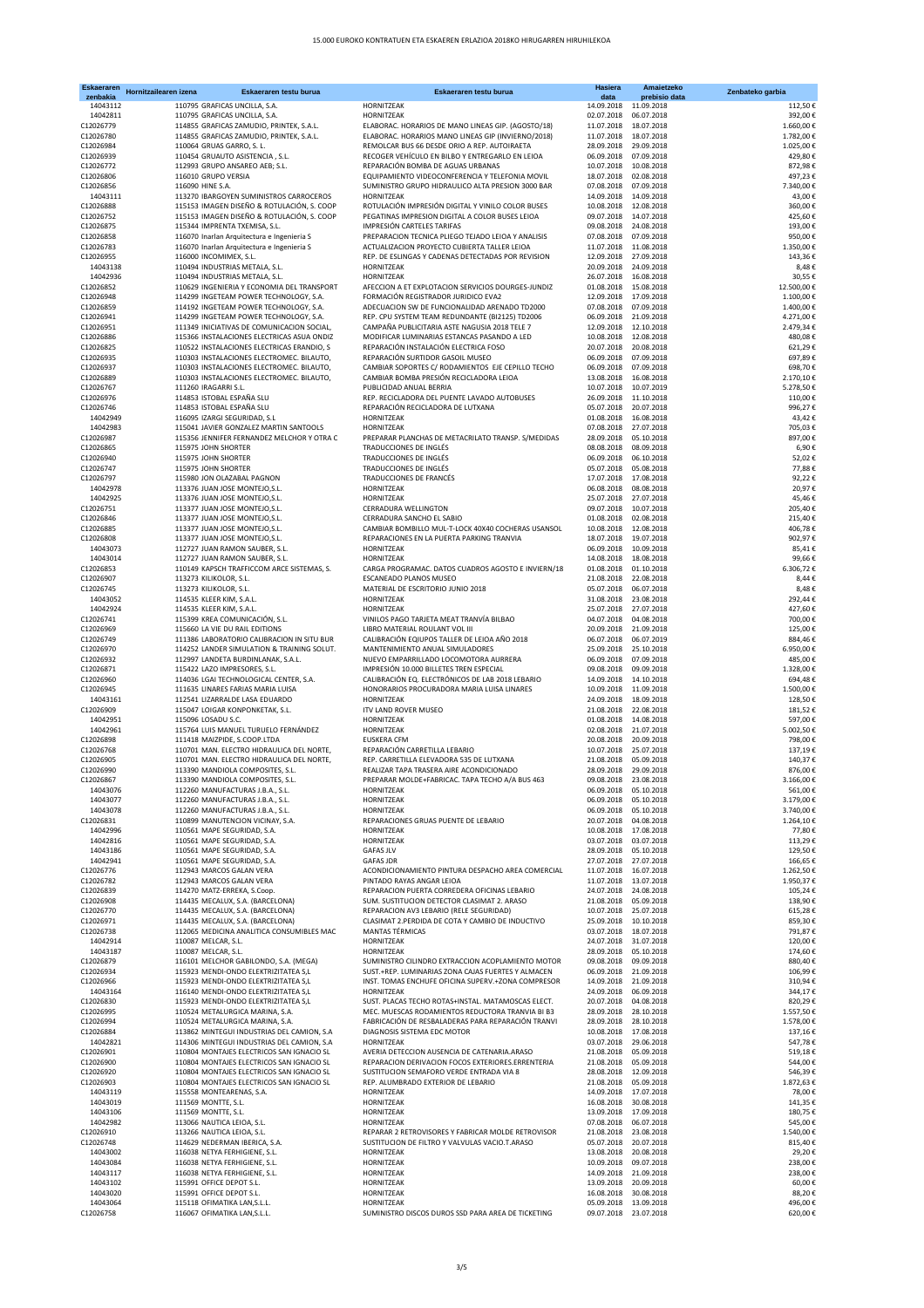| <b>Eskaeraren</b><br>zenbakia | Hornitzailearen izena | Eskaeraren testu burua                                                                   | Eskaeraren testu burua                                                                                   | <b>Hasiera</b><br>data                | Amaietzeko<br>prebisio data | Zenbateko garbia       |
|-------------------------------|-----------------------|------------------------------------------------------------------------------------------|----------------------------------------------------------------------------------------------------------|---------------------------------------|-----------------------------|------------------------|
| 14043112                      |                       | 110795 GRAFICAS UNCILLA, S.A.                                                            | HORNITZEAK                                                                                               | 14.09.2018                            | 11.09.2018                  | 112,50€                |
| 14042811                      |                       | 110795 GRAFICAS UNCILLA, S.A.                                                            | HORNITZEAK                                                                                               | 02.07.2018                            | 06.07.2018                  | 392,00€                |
| C12026779<br>C12026780        |                       | 114855 GRAFICAS ZAMUDIO, PRINTEK, S.A.L.                                                 | ELABORAC. HORARIOS DE MANO LINEAS GIP. (AGOSTO/18)                                                       | 11.07.2018                            | 18.07.2018<br>18.07.2018    | 1.660,00€              |
| C12026984                     |                       | 114855 GRAFICAS ZAMUDIO, PRINTEK, S.A.L.<br>110064 GRUAS GARRO, S. L.                    | ELABORAC. HORARIOS MANO LINEAS GIP (INVIERNO/2018)<br>REMOLCAR BUS 66 DESDE ORIO A REP. AUTOIRAETA       | 11.07.2018<br>28.09.2018              | 29.09.2018                  | 1.782,00€<br>1.025,00€ |
| C12026939                     |                       | 110454 GRUAUTO ASISTENCIA, S.L.                                                          | RECOGER VEHÍCULO EN BILBO Y ENTREGARLO EN LEIOA                                                          | 06.09.2018                            | 07.09.2018                  | 429,80€                |
| C12026772                     |                       | 112993 GRUPO ANSAREO AEB; S.L.                                                           | REPARACIÓN BOMBA DE AGUAS URBANAS                                                                        | 10.07.2018                            | 10.08.2018                  | 872,98€                |
| C12026806                     |                       | 116010 GRUPO VERSIA                                                                      | EQUIPAMIENTO VIDEOCONFERENCIA Y TELEFONIA MOVIL                                                          | 18.07.2018                            | 02.08.2018                  | 497,23€                |
| C12026856<br>14043111         |                       | 116090 HINE S.A.<br>113270 IBARGOYEN SUMINISTROS CARROCEROS                              | SUMINISTRO GRUPO HIDRAULICO ALTA PRESION 3000 BAR<br><b>HORNITZEAK</b>                                   | 07.08.2018<br>14.09.2018              | 07.09.2018<br>14.09.2018    | 7.340,00€<br>43,00€    |
| C12026888                     |                       | 115153 IMAGEN DISEÑO & ROTULACIÓN, S. COOP                                               | ROTULACIÓN IMPRESIÓN DIGITAL Y VINILO COLOR BUSES                                                        | 10.08.2018                            | 12.08.2018                  | 360,00€                |
| C12026752                     |                       | 115153 IMAGEN DISEÑO & ROTULACIÓN, S. COOP                                               | PEGATINAS IMPRESION DIGITAL A COLOR BUSES LEIOA                                                          | 09.07.2018                            | 14.07.2018                  | 425,60€                |
| C12026875                     |                       | 115344 IMPRENTA TXEMISA, S.L.                                                            | IMPRESIÓN CARTELES TARIFAS                                                                               | 09.08.2018                            | 24.08.2018                  | 193,00€                |
| C12026858<br>C12026783        |                       | 116070 Inarlan Arquitectura e Ingenieria S<br>116070 Inarlan Arquitectura e Ingenieria S | PREPARACION TECNICA PLIEGO TEJADO LEIOA Y ANALISIS<br>ACTUALIZACION PROYECTO CUBIERTA TALLER LEIOA       | 07.08.2018<br>11.07.2018              | 07.09.2018<br>11.08.2018    | 950,00€<br>1.350,00€   |
| C12026955                     |                       | 116000 INCOMIMEX, S.L.                                                                   | REP. DE ESLINGAS Y CADENAS DETECTADAS POR REVISION                                                       | 12.09.2018                            | 27.09.2018                  | 143,36€                |
| 14043138                      |                       | 110494 INDUSTRIAS METALA, S.L.                                                           | HORNITZEAK                                                                                               | 20.09.2018                            | 24.09.2018                  | 8,48€                  |
| 14042936                      |                       | 110494 INDUSTRIAS METALA, S.L.                                                           | HORNITZEAK                                                                                               | 26.07.2018                            | 16.08.2018                  | 30,55€                 |
| C12026852                     |                       | 110629 INGENIERIA Y ECONOMIA DEL TRANSPORT                                               | AFECCION A ET EXPLOTACION SERVICIOS DOURGES-JUNDIZ                                                       | 01.08.2018                            | 15.08.2018                  | 12.500,00€             |
| C12026948<br>C12026859        |                       | 114299 INGETEAM POWER TECHNOLOGY, S.A.<br>114192 INGETEAM POWER TECHNOLOGY, S.A.         | FORMACIÓN REGISTRADOR JURIDICO EVA2<br>ADECUACION SW DE FUNCIONALIDAD ARENADO TD2000                     | 12.09.2018<br>07.08.2018              | 17.09.2018<br>07.09.2018    | 1.100,00€<br>1.400,00€ |
| C12026941                     |                       | 114299 INGETEAM POWER TECHNOLOGY, S.A.                                                   | REP. CPU SYSTEM TEAM REDUNDANTE (BI2125) TD2006                                                          | 06.09.2018                            | 21.09.2018                  | 4.271,00€              |
| C12026951                     |                       | 111349 INICIATIVAS DE COMUNICACION SOCIAL,                                               | CAMPAÑA PUBLICITARIA ASTE NAGUSIA 2018 TELE 7                                                            | 12.09.2018                            | 12.10.2018                  | 2.479,34€              |
| C12026886                     |                       | 115366 INSTALACIONES ELECTRICAS ASUA ONDIZ                                               | MODIFICAR LUMINARIAS ESTANCAS PASANDO A LED                                                              | 10.08.2018                            | 12.08.2018                  | 480,08€                |
| C12026825<br>C12026935        |                       | 110522 INSTALACIONES ELECTRICAS ERANDIO, S<br>110303 INSTALACIONES ELECTROMEC. BILAUTO,  | REPARACIÓN INSTALACIÓN ELECTRICA FOSO<br>REPARACIÓN SURTIDOR GASOIL MUSEO                                | 20.07.2018<br>06.09.2018              | 20.08.2018<br>07.09.2018    | 621,29€<br>697,89€     |
| C12026937                     |                       | 110303 INSTALACIONES ELECTROMEC. BILAUTO,                                                | CAMBIAR SOPORTES C/ RODAMIENTOS EJE CEPILLO TECHO                                                        | 06.09.2018                            | 07.09.2018                  | 698,70€                |
| C12026889                     |                       | 110303 INSTALACIONES ELECTROMEC. BILAUTO,                                                | CAMBIAR BOMBA PRESIÓN RECICLADORA LEIOA                                                                  | 13.08.2018                            | 16.08.2018                  | 2.170,10€              |
| C12026767                     |                       | 111260 IRAGARRI S.L.                                                                     | PUBLICIDAD ANUAL BERRIA                                                                                  | 10.07.2018                            | 10.07.2019                  | 5.278,50€              |
| C12026976                     |                       | 114853 ISTOBAL ESPAÑA SLU                                                                | REP. RECICLADORA DEL PUENTE LAVADO AUTOBUSES                                                             | 26.09.2018                            | 11.10.2018                  | 110,00€                |
| C12026746<br>14042949         |                       | 114853 ISTOBAL ESPAÑA SLU<br>116095 IZARGI SEGURIDAD, S.L                                | REPARACIÓN RECICLADORA DE LUTXANA<br><b>HORNITZEAK</b>                                                   | 05.07.2018<br>01.08.2018              | 20.07.2018<br>16.08.2018    | 996,27€<br>43,42€      |
| 14042983                      |                       | 115041 JAVIER GONZALEZ MARTIN SANTOOLS                                                   | HORNITZEAK                                                                                               | 07.08.2018                            | 27.07.2018                  | 705,03€                |
| C12026987                     |                       | 115356 JENNIFER FERNANDEZ MELCHOR Y OTRA C                                               | PREPARAR PLANCHAS DE METACRILATO TRANSP. S/MEDIDAS                                                       | 28.09.2018                            | 05.10.2018                  | 897,00€                |
| C12026865                     |                       | 115975 JOHN SHORTER                                                                      | TRADUCCIONES DE INGLÉS                                                                                   | 08.08.2018                            | 08.09.2018                  | 6,90€                  |
| C12026940                     |                       | 115975 JOHN SHORTER<br>115975 JOHN SHORTER                                               | TRADUCCIONES DE INGLÉS<br>TRADUCCIONES DE INGLÉS                                                         | 06.09.2018<br>05.07.2018              | 06.10.2018<br>05.08.2018    | 52,02€                 |
| C12026747<br>C12026797        |                       | 115980 JON OLAZABAL PAGNON                                                               | TRADUCCIONES DE FRANCÉS                                                                                  | 17.07.2018                            | 17.08.2018                  | 77,88€<br>92,22€       |
| 14042978                      |                       | 113376 JUAN JOSE MONTEJO, S.L.                                                           | HORNITZEAK                                                                                               | 06.08.2018                            | 08.08.2018                  | 20,97€                 |
| 14042925                      |                       | 113376 JUAN JOSE MONTEJO, S.L.                                                           | HORNITZEAK                                                                                               | 25.07.2018                            | 27.07.2018                  | 45,46€                 |
| C12026751                     |                       | 113377 JUAN JOSE MONTEJO.S.L.                                                            | CERRADURA WELLINGTON                                                                                     | 09.07.2018                            | 10.07.2018                  | 205,40€                |
| C12026846<br>C12026885        |                       | 113377 JUAN JOSE MONTEJO, S.L.<br>113377 JUAN JOSE MONTEJO, S.L.                         | CERRADURA SANCHO EL SABIO<br>CAMBIAR BOMBILLO MUL-T-LOCK 40X40 COCHERAS USANSOL                          | 01.08.2018<br>10.08.2018              | 02.08.2018<br>12.08.2018    | 215,40€<br>406,78€     |
| C12026808                     |                       | 113377 JUAN JOSE MONTEJO, S.L.                                                           | REPARACIONES EN LA PUERTA PARKING TRANVIA                                                                | 18.07.2018                            | 19.07.2018                  | 902,97€                |
| 14043073                      |                       | 112727 JUAN RAMON SAUBER, S.L.                                                           | <b>HORNITZEAK</b>                                                                                        | 06.09.2018                            | 10.09.2018                  | 85,41€                 |
| 14043014                      |                       | 112727 JUAN RAMON SAUBER, S.L.                                                           | HORNITZEAK                                                                                               | 14.08.2018                            | 18.08.2018                  | 99,66€                 |
| C12026853                     |                       | 110149 KAPSCH TRAFFICCOM ARCE SISTEMAS, S.                                               | CARGA PROGRAMAC. DATOS CUADROS AGOSTO E INVIERN/18                                                       | 01.08.2018                            | 01.10.2018                  | 6.306,72€              |
| C12026907<br>C12026745        |                       | 113273 KILIKOLOR, S.L.<br>113273 KILIKOLOR, S.L.                                         | ESCANEADO PLANOS MUSEO<br>MATERIAL DE ESCRITORIO JUNIO 2018                                              | 21.08.2018<br>05.07.2018   06.07.2018 | 22.08.2018                  | 8,44€<br>8,48€         |
| 14043052                      |                       | 114535 KLEER KIM, S.A.L.                                                                 | HORNITZEAK                                                                                               | 31.08.2018                            | 23.08.2018                  | 292,44€                |
| 14042924                      |                       | 114535 KLEER KIM, S.A.L.                                                                 | HORNITZEAK                                                                                               | 25.07.2018                            | 27.07.2018                  | 427,60€                |
| C12026741                     |                       | 115399 KREA COMUNICACIÓN, S.L.                                                           | VINILOS PAGO TARJETA MEAT TRANVÍA BILBAO                                                                 | 04.07.2018                            | 04.08.2018                  | 700,00€                |
| C12026969                     |                       | 115660 LA VIE DU RAIL EDITIONS                                                           | LIBRO MATERIAL ROULANT VOL III                                                                           | 20.09.2018                            | 21.09.2018                  | 125,00€                |
| C12026749<br>C12026970        |                       | 111386 LABORATORIO CALIBRACION IN SITU BUR<br>114252 LANDER SIMULATION & TRAINING SOLUT. | CALIBRACIÓN EQIUPOS TALLER DE LEIOA AÑO 2018<br>MANTENIMIENTO ANUAL SIMULADORES                          | 06.07.2018<br>25.09.2018 25.10.2018   | 06.07.2019                  | 884,46€<br>6.950,00€   |
| C12026932                     |                       | 112997 LANDETA BURDINLANAK, S.A.L.                                                       | NUEVO EMPARRILLADO LOCOMOTORA AURRERA                                                                    | 06.09.2018                            | 07.09.2018                  | 485,00€                |
| C12026871                     |                       | 115422 LAZO IMPRESORES, S.L.                                                             | IMPRESIÓN 10.000 BILLETES TREN ESPECIAL                                                                  | 09.08.2018                            | 09.09.2018                  | 1.328,00 €             |
| C12026960                     |                       | 114036 LGAI TECHNOLOGICAL CENTER, S.A.                                                   | CALIBRACIÓN EQ. ELECTRÓNICOS DE LAB 2018 LEBARIO                                                         | 14.09.2018                            | 14.10.2018                  | 694,48€                |
| C12026945<br>14043161         |                       | 111635 LINARES FARIAS MARIA LUISA<br>112541 LIZARRALDE LASA EDUARDO                      | HONORARIOS PROCURADORA MARIA LUISA LINARES<br>HORNITZEAK                                                 | 10.09.2018<br>24.09.2018              | 11.09.2018<br>18.09.2018    | 1.500,00€<br>128,50€   |
| C12026909                     |                       | 115047 LOIGAR KONPONKETAK, S.L.                                                          | ITV LAND ROVER MUSEO                                                                                     | 21.08.2018 22.08.2018                 |                             | 181,52€                |
| 14042951                      |                       | 115096 LOSADU S.C.                                                                       | HORNITZEAK                                                                                               | 01.08.2018 14.08.2018                 |                             | 597,00€                |
| 14042961                      |                       | 115764 LUIS MANUEL TURUELO FERNÁNDEZ                                                     | HORNITZEAK                                                                                               | 02.08.2018 21.07.2018                 |                             | 5.002,50€              |
| C12026898                     |                       | 111418 MAIZPIDE, S.COOP.LTDA                                                             | <b>EUSKERA CFM</b>                                                                                       | 20.08.2018 20.09.2018                 |                             | 798,00€                |
| C12026768<br>C12026905        |                       | 110701 MAN. ELECTRO HIDRAULICA DEL NORTE,<br>110701 MAN. ELECTRO HIDRAULICA DEL NORTE,   | REPARACIÓN CARRETILLA LEBARIO<br>REP. CARRETILLA ELEVADORA 535 DE LUTXANA                                | 10.07.2018<br>21.08.2018 05.09.2018   | 25.07.2018                  | 137,19€<br>140,37€     |
| C12026990                     |                       | 113390 MANDIOLA COMPOSITES, S.L.                                                         | REALIZAR TAPA TRASERA AIRE ACONDICIONADO                                                                 | 28.09.2018 29.09.2018                 |                             | 876,00€                |
| C12026867                     |                       | 113390 MANDIOLA COMPOSITES, S.L                                                          | PREPARAR MOLDE+FABRICAC. TAPA TECHO A/A BUS 463                                                          | 09.08.2018 23.08.2018                 |                             | 3.166,00 €             |
| 14043076                      |                       | 112260 MANUFACTURAS J.B.A., S.L.                                                         | <b>HORNITZEAK</b>                                                                                        | 06.09.2018 05.10.2018                 |                             | 561,00€                |
| 14043077<br>14043078          |                       | 112260 MANUFACTURAS J.B.A., S.L.<br>112260 MANUFACTURAS J.B.A., S.L.                     | HORNITZEAK                                                                                               | 06.09.2018                            | 05.10.2018                  | 3.179,00€              |
| C12026831                     |                       | 110899 MANUTENCION VICINAY, S.A.                                                         | HORNITZEAK<br>REPARACIONES GRUAS PUENTE DE LEBARIO                                                       | 06.09.2018<br>20.07.2018              | 05.10.2018<br>04.08.2018    | 3.740,00€<br>1.264,10€ |
| 14042996                      |                       | 110561 MAPE SEGURIDAD, S.A.                                                              | HORNITZEAK                                                                                               | 10.08.2018                            | 17.08.2018                  | 77,80€                 |
| 14042816                      |                       | 110561 MAPE SEGURIDAD, S.A.                                                              | HORNITZEAK                                                                                               | 03.07.2018 03.07.2018                 |                             | 113,29€                |
| 14043186                      |                       | 110561 MAPE SEGURIDAD, S.A.                                                              | <b>GAFAS JLV</b>                                                                                         | 28.09.2018                            | 05.10.2018                  | 129,50€                |
| 14042941<br>C12026776         |                       | 110561 MAPE SEGURIDAD, S.A.<br>112943 MARCOS GALAN VERA                                  | <b>GAFAS JDR</b><br>ACONDICIONAMIENTO PINTURA DESPACHO AREA COMERCIAL                                    | 27.07.2018<br>11.07.2018              | 27.07.2018<br>16.07.2018    | 166,65€<br>1.262,50€   |
| C12026782                     |                       | 112943 MARCOS GALAN VERA                                                                 | PINTADO RAYAS ANGAR LEIOA                                                                                | 11.07.2018                            | 13.07.2018                  | 1.950,37€              |
| C12026839                     |                       | 114270 MATZ-ERREKA, S.Coop.                                                              | REPARACION PUERTA CORREDERA OFICINAS LEBARIO                                                             | 24.07.2018                            | 24.08.2018                  | 105,24€                |
| C12026908                     |                       | 114435 MECALUX, S.A. (BARCELONA)                                                         | SUM. SUSTITUCION DETECTOR CLASIMAT 2. ARASO                                                              | 21.08.2018                            | 05.09.2018                  | 138,90€                |
| C12026770                     |                       | 114435 MECALUX, S.A. (BARCELONA)                                                         | REPARACION AV3 LEBARIO (RELE SEGURIDAD)                                                                  | 10.07.2018                            | 25.07.2018                  | 615,28€                |
| C12026971<br>C12026738        |                       | 114435 MECALUX, S.A. (BARCELONA)<br>112065 MEDICINA ANALITICA CONSUMIBLES MAC            | CLASIMAT 2.PERDIDA DE COTA Y CAMBIO DE INDUCTIVO<br>MANTAS TÉRMICAS                                      | 25.09.2018<br>03.07.2018              | 10.10.2018<br>18.07.2018    | 859,30€<br>791,87€     |
| 14042914                      |                       | 110087 MELCAR, S.L.                                                                      | HORNITZEAK                                                                                               | 24.07.2018                            | 31.07.2018                  | 120,00€                |
| 14043187                      |                       | 110087 MELCAR, S.L.                                                                      | HORNITZEAK                                                                                               | 28.09.2018                            | 05.10.2018                  | 174,60€                |
| C12026879                     |                       | 116101 MELCHOR GABILONDO, S.A. (MEGA)                                                    | SUMINISTRO CILINDRO EXTRACCION ACOPLAMIENTO MOTOR                                                        | 09.08.2018                            | 09.09.2018                  | 880,40€                |
| C12026934<br>C12026966        |                       | 115923 MENDI-ONDO ELEKTRIZITATEA S,L<br>115923 MENDI-ONDO ELEKTRIZITATEA S,L             | SUST.+REP. LUMINARIAS ZONA CAJAS FUERTES Y ALMACEN<br>INST. TOMAS ENCHUFE OFICINA SUPERV.+ZONA COMPRESOR | 06.09.2018<br>14.09.2018              | 21.09.2018<br>21.09.2018    | 106,99€<br>310,94€     |
| 14043164                      |                       | 116140 MENDI-ONDO ELEKTRIZITATEA S,L                                                     | HORNITZEAK                                                                                               | 24.09.2018                            | 06.09.2018                  | 344,17€                |
| C12026830                     |                       | 115923 MENDI-ONDO ELEKTRIZITATEA S,L                                                     | SUST. PLACAS TECHO ROTAS+INSTAL. MATAMOSCAS ELECT.                                                       | 20.07.2018                            | 04.08.2018                  | 820,29€                |
| C12026995                     |                       | 110524 METALURGICA MARINA, S.A.                                                          | MEC. MUESCAS RODAMIENTOS REDUCTORA TRANVIA BI B3                                                         | 28.09.2018                            | 28.10.2018                  | 1.557,50€              |
| C12026994                     |                       | 110524 METALURGICA MARINA, S.A.                                                          | FABRICACIÓN DE RESBALADERAS PARA REPARACIÓN TRANVI                                                       | 28.09.2018                            | 28.10.2018                  | 1.578,00€              |
| C12026884<br>14042821         |                       | 113862 MINTEGUI INDUSTRIAS DEL CAMION, S.A<br>114306 MINTEGUI INDUSTRIAS DEL CAMION, S.A | DIAGNOSIS SISTEMA EDC MOTOR<br>HORNITZEAK                                                                | 10.08.2018<br>03.07.2018              | 17.08.2018<br>29.06.2018    | 137,16€<br>547,78€     |
| C12026901                     |                       | 110804 MONTAJES ELECTRICOS SAN IGNACIO SL                                                | AVERIA DETECCION AUSENCIA DE CATENARIA.ARASO                                                             | 21.08.2018                            | 05.09.2018                  | 519,18€                |
| C12026900                     |                       | 110804 MONTAJES ELECTRICOS SAN IGNACIO SL                                                | REPARACION DERIVACION FOCOS EXTERIORES.ERRENTERIA                                                        | 21.08.2018                            | 05.09.2018                  | 544,00€                |
| C12026920                     |                       | 110804 MONTAJES ELECTRICOS SAN IGNACIO SL                                                | SUSTITUCION SEMAFORO VERDE ENTRADA VIA 8                                                                 | 28.08.2018                            | 12.09.2018                  | 546,39€                |
| C12026903                     |                       | 110804 MONTAJES ELECTRICOS SAN IGNACIO SL                                                | REP. ALUMBRADO EXTERIOR DE LEBARIO                                                                       | 21.08.2018                            | 05.09.2018                  | 1.872,63€              |
| 14043119<br>14043019          |                       | 115558 MONTEARENAS, S.A.<br>111569 MONTTE, S.L.                                          | HORNITZEAK<br>HORNITZEAK                                                                                 | 14.09.2018 17.07.2018<br>16.08.2018   | 30.08.2018                  | 78,00€<br>141,35€      |
| 14043106                      |                       | 111569 MONTTE, S.L.                                                                      | HORNITZEAK                                                                                               | 13.09.2018                            | 17.09.2018                  | 180,75€                |
| 14042982                      |                       | 113066 NAUTICA LEIOA, S.L.                                                               | HORNITZEAK                                                                                               | 07.08.2018                            | 06.07.2018                  | 545,00€                |
| C12026910                     |                       | 113266 NAUTICA LEIOA, S.L.                                                               | REPARAR 2 RETROVISORES Y FABRICAR MOLDE RETROVISOR                                                       | 21.08.2018                            | 23.08.2018                  | 1.540,00€              |
| C12026748                     |                       | 114629 NEDERMAN IBERICA, S.A.                                                            | SUSTITUCION DE FILTRO Y VALVULAS VACIO.T.ARASO                                                           | 05.07.2018                            | 20.07.2018                  | 815,40€                |
| 14043002<br>14043084          |                       | 116038 NETYA FERHIGIENE, S.L.<br>116038 NETYA FERHIGIENE, S.L.                           | HORNITZEAK<br>HORNITZEAK                                                                                 | 13.08.2018<br>10.09.2018              | 20.08.2018<br>09.07.2018    | 29,20€<br>238,00€      |
| 14043117                      |                       | 116038 NETYA FERHIGIENE, S.L.                                                            | HORNITZEAK                                                                                               | 14.09.2018                            | 21.09.2018                  | 238,00€                |
| 14043102                      |                       | 115991 OFFICE DEPOT S.L.                                                                 | HORNITZEAK                                                                                               | 13.09.2018                            | 20.09.2018                  | 60,00€                 |
| 14043020                      |                       | 115991 OFFICE DEPOT S.L.                                                                 | HORNITZEAK                                                                                               | 16.08.2018                            | 30.08.2018                  | 88,20€                 |
| 14043064                      |                       | 115118 OFIMATIKA LAN, S.L.L.                                                             | HORNITZEAK                                                                                               | 05.09.2018                            | 13.09.2018                  | 496,00€                |
| C12026758                     |                       | 116067 OFIMATIKA LAN, S.L.L                                                              | SUMINISTRO DISCOS DUROS SSD PARA AREA DE TICKETING                                                       |                                       | 09.07.2018 23.07.2018       | 620,00€                |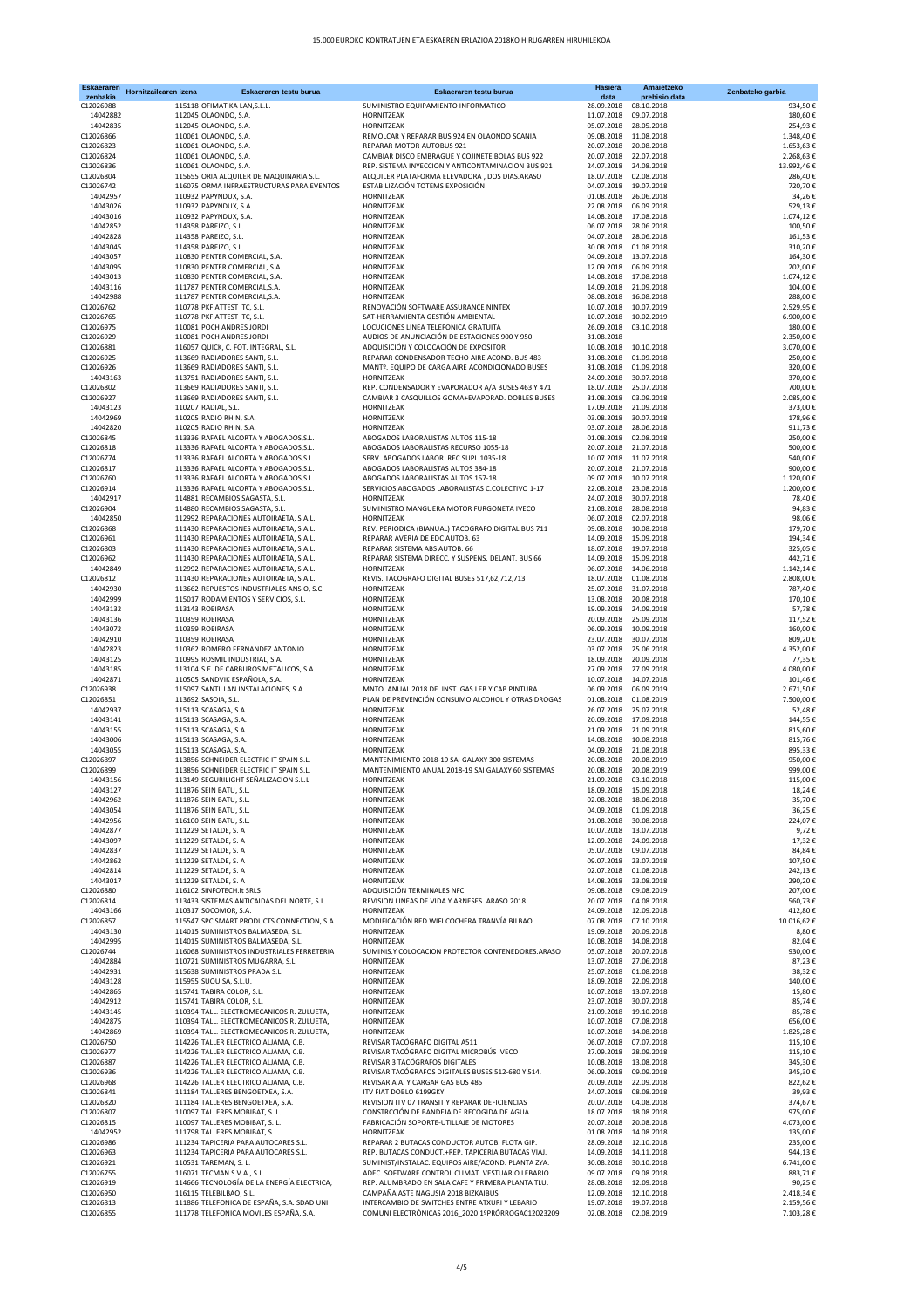| <b>Eskaeraren</b><br>zenbakia | Hornitzailearen izena | Eskaeraren testu burua                                                             | Eskaeraren testu burua                                                                                 | Hasiera<br>data                     | Amaietzeko<br>prebisio data | Zenbateko garbia       |
|-------------------------------|-----------------------|------------------------------------------------------------------------------------|--------------------------------------------------------------------------------------------------------|-------------------------------------|-----------------------------|------------------------|
| C12026988                     |                       | 115118 OFIMATIKA LAN, S.L.L.                                                       | SUMINISTRO EQUIPAMIENTO INFORMATICO                                                                    | 28.09.2018                          | 08.10.2018                  | 934,50€                |
| 14042882                      |                       | 112045 OLAONDO, S.A.                                                               | HORNITZEAK                                                                                             | 11.07.2018                          | 09.07.2018                  | 180,60€                |
| 14042835                      |                       | 112045 OLAONDO, S.A.                                                               | HORNITZEAK                                                                                             | 05.07.2018                          | 28.05.2018                  | 254,93€                |
| C12026866<br>C12026823        |                       | 110061 OLAONDO, S.A.<br>110061 OLAONDO, S.A.                                       | REMOLCAR Y REPARAR BUS 924 EN OLAONDO SCANIA<br>REPARAR MOTOR AUTOBUS 921                              | 09.08.2018<br>20.07.2018            | 11.08.2018<br>20.08.2018    | 1.348,40€<br>1.653,63€ |
| C12026824                     |                       | 110061 OLAONDO, S.A.                                                               | CAMBIAR DISCO EMBRAGUE Y COJINETE BOLAS BUS 922                                                        | 20.07.2018                          | 22.07.2018                  | 2.268,63€              |
| C12026836                     |                       | 110061 OLAONDO, S.A.                                                               | REP. SISTEMA INYECCION Y ANTICONTAMINACION BUS 921                                                     | 24.07.2018                          | 24.08.2018                  | 13.992,46€             |
| C12026804                     |                       | 115655 ORIA ALQUILER DE MAQUINARIA S.L.                                            | ALQUILER PLATAFORMA ELEVADORA, DOS DIAS.ARASO                                                          | 18.07.2018                          | 02.08.2018                  | 286,40€                |
| C12026742                     |                       | 116075 ORMA INFRAESTRUCTURAS PARA EVENTOS                                          | ESTABILIZACIÓN TOTEMS EXPOSICIÓN                                                                       | 04.07.2018                          | 19.07.2018                  | 720,70€                |
| 14042957<br>14043026          |                       | 110932 PAPYNDUX, S.A.<br>110932 PAPYNDUX, S.A.                                     | HORNITZEAK<br>HORNITZEAK                                                                               | 01.08.2018<br>22.08.2018            | 26.06.2018<br>06.09.2018    | 34,26€<br>529,13€      |
| 14043016                      |                       | 110932 PAPYNDUX, S.A.                                                              | HORNITZEAK                                                                                             | 14.08.2018                          | 17.08.2018                  | 1.074,12€              |
| 14042852                      |                       | 114358 PAREIZO, S.L.                                                               | HORNITZEAK                                                                                             | 06.07.2018                          | 28.06.2018                  | 100,50€                |
| 14042828                      |                       | 114358 PAREIZO, S.L.                                                               | HORNITZEAK                                                                                             | 04.07.2018                          | 28.06.2018                  | 161,53€                |
| 14043045                      |                       | 114358 PAREIZO, S.L.                                                               | HORNITZEAK<br>HORNITZEAK                                                                               | 30.08.2018                          | 01.08.2018<br>13.07.2018    | 310,20€                |
| 14043057<br>14043095          |                       | 110830 PENTER COMERCIAL, S.A.<br>110830 PENTER COMERCIAL, S.A.                     | HORNITZEAK                                                                                             | 04.09.2018<br>12.09.2018            | 06.09.2018                  | 164,30€<br>202,00€     |
| 14043013                      |                       | 110830 PENTER COMERCIAL, S.A.                                                      | HORNITZEAK                                                                                             | 14.08.2018                          | 17.08.2018                  | 1.074,12€              |
| 14043116                      |                       | 111787 PENTER COMERCIAL, S.A.                                                      | HORNITZEAK                                                                                             | 14.09.2018                          | 21.09.2018                  | 104,00€                |
| 14042988                      |                       | 111787 PENTER COMERCIAL, S.A.                                                      | HORNITZEAK                                                                                             | 08.08.2018                          | 16.08.2018                  | 288,00€                |
| C12026762<br>C12026765        |                       | 110778 PKF ATTEST ITC, S.L.<br>110778 PKF ATTEST ITC, S.L.                         | RENOVACIÓN SOFTWARE ASSURANCE NINTEX<br>SAT-HERRAMIENTA GESTIÓN AMBIENTAL                              | 10.07.2018<br>10.07.2018            | 10.07.2019<br>10.02.2019    | 2.529,95€<br>6.900,00€ |
| C12026975                     |                       | 110081 POCH ANDRES JORDI                                                           | LOCUCIONES LINEA TELEFONICA GRATUITA                                                                   | 26.09.2018                          | 03.10.2018                  | 180,00€                |
| C12026929                     |                       | 110081 POCH ANDRES JORDI                                                           | AUDIOS DE ANUNCIACIÓN DE ESTACIONES 900 Y 950                                                          | 31.08.2018                          |                             | 2.350,00€              |
| C12026881                     |                       | 116057 QUICK, C. FOT. INTEGRAL, S.L.                                               | ADQUISICIÓN Y COLOCACIÓN DE EXPOSITOR                                                                  | 10.08.2018                          | 10.10.2018                  | 3.070,00€              |
| C12026925                     |                       | 113669 RADIADORES SANTI, S.L.                                                      | REPARAR CONDENSADOR TECHO AIRE ACOND. BUS 483                                                          | 31.08.2018                          | 01.09.2018<br>01.09.2018    | 250,00€                |
| C12026926<br>14043163         |                       | 113669 RADIADORES SANTI, S.L.<br>113751 RADIADORES SANTI, S.L.                     | MANTº. EQUIPO DE CARGA AIRE ACONDICIONADO BUSES<br>HORNITZEAK                                          | 31.08.2018<br>24.09.2018            | 30.07.2018                  | 320,00€<br>370,00€     |
| C12026802                     |                       | 113669 RADIADORES SANTI, S.L.                                                      | REP. CONDENSADOR Y EVAPORADOR A/A BUSES 463 Y 471                                                      | 18.07.2018                          | 25.07.2018                  | 700,00€                |
| C12026927                     |                       | 113669 RADIADORES SANTI, S.L.                                                      | CAMBIAR 3 CASQUILLOS GOMA+EVAPORAD. DOBLES BUSES                                                       | 31.08.2018                          | 03.09.2018                  | 2.085,00€              |
| 14043123                      |                       | 110207 RADIAL, S.L.                                                                | HORNITZEAK                                                                                             | 17.09.2018                          | 21.09.2018                  | 373,00€                |
| 14042969<br>14042820          |                       | 110205 RADIO RHIN, S.A.<br>110205 RADIO RHIN, S.A.                                 | HORNITZEAK<br>HORNITZEAK                                                                               | 03.08.2018<br>03.07.2018            | 30.07.2018<br>28.06.2018    | 178,96€<br>911,73€     |
| C12026845                     |                       | 113336 RAFAEL ALCORTA Y ABOGADOS, S.L.                                             | ABOGADOS LABORALISTAS AUTOS 115-18                                                                     | 01.08.2018                          | 02.08.2018                  | 250,00€                |
| C12026818                     |                       | 113336 RAFAEL ALCORTA Y ABOGADOS, S.L.                                             | ABOGADOS LABORALISTAS RECURSO 1055-18                                                                  | 20.07.2018                          | 21.07.2018                  | 500,00€                |
| C12026774                     |                       | 113336 RAFAEL ALCORTA Y ABOGADOS, S.L.                                             | SERV. ABOGADOS LABOR. REC.SUPL.1035-18                                                                 | 10.07.2018                          | 11.07.2018                  | 540,00€                |
| C12026817                     |                       | 113336 RAFAEL ALCORTA Y ABOGADOS, S.L.                                             | ABOGADOS LABORALISTAS AUTOS 384-18                                                                     | 20.07.2018                          | 21.07.2018                  | 900,00€                |
| C12026760<br>C12026914        |                       | 113336 RAFAEL ALCORTA Y ABOGADOS.S.L.<br>113336 RAFAEL ALCORTA Y ABOGADOS, S.L.    | ABOGADOS LABORALISTAS AUTOS 157-18<br>SERVICIOS ABOGADOS LABORALISTAS C.COLECTIVO 1-17                 | 09.07.2018<br>22.08.2018            | 10.07.2018<br>23.08.2018    | 1.120,00€<br>1.200,00€ |
| 14042917                      |                       | 114881 RECAMBIOS SAGASTA, S.L.                                                     | HORNITZEAK                                                                                             | 24.07.2018                          | 30.07.2018                  | 78,40€                 |
| C12026904                     |                       | 114880 RECAMBIOS SAGASTA, S.L.                                                     | SUMINISTRO MANGUERA MOTOR FURGONETA IVECO                                                              | 21.08.2018                          | 28.08.2018                  | 94,83€                 |
| 14042850                      |                       | 112992 REPARACIONES AUTOIRAETA, S.A.L.                                             | <b>HORNITZFAK</b>                                                                                      | 06.07.2018                          | 02.07.2018                  | 98,06€                 |
| C12026868                     |                       | 111430 REPARACIONES AUTOIRAETA, S.A.L.                                             | REV. PERIODICA (BIANUAL) TACOGRAFO DIGITAL BUS 711                                                     | 09.08.2018                          | 10.08.2018                  | 179,70€                |
| C12026961<br>C12026803        |                       | 111430 REPARACIONES AUTOIRAETA, S.A.L.<br>111430 REPARACIONES AUTOIRAETA, S.A.L.   | REPARAR AVERIA DE EDC AUTOB. 63<br>REPARAR SISTEMA ABS AUTOB. 66                                       | 14.09.2018<br>18.07.2018            | 15.09.2018<br>19.07.2018    | 194,34€<br>325,05€     |
| C12026962                     |                       | 111430 REPARACIONES AUTOIRAETA, S.A.L.                                             | REPARAR SISTEMA DIRECC. Y SUSPENS. DELANT. BUS 66                                                      | 14.09.2018                          | 15.09.2018                  | 442,71€                |
| 14042849                      |                       | 112992 REPARACIONES AUTOIRAETA, S.A.L.                                             | HORNITZEAK                                                                                             | 06.07.2018                          | 14.06.2018                  | 1.142,14€              |
| C12026812                     |                       | 111430 REPARACIONES AUTOIRAETA, S.A.L.                                             | REVIS. TACOGRAFO DIGITAL BUSES 517,62,712,713                                                          | 18.07.2018                          | 01.08.2018                  | 2.808,00€              |
| 14042930<br>14042999          |                       | 113662 REPUESTOS INDUSTRIALES ANSIO, S.C.                                          | HORNITZEAK<br>HORNITZEAK                                                                               | 25.07.2018                          | 31.07.2018<br>20.08.2018    | 787,40€                |
| 14043132                      |                       | 115017 RODAMIENTOS Y SERVICIOS, S.L.<br>113143 ROEIRASA                            | HORNITZEAK                                                                                             | 13.08.2018<br>19.09.2018            | 24.09.2018                  | 170,10€<br>57,78€      |
| 14043136                      |                       | 110359 ROEIRASA                                                                    | HORNITZEAK                                                                                             | 20.09.2018                          | 25.09.2018                  | 117,52€                |
| 14043072                      |                       | 110359 ROEIRASA                                                                    | HORNITZEAK                                                                                             | 06.09.2018                          | 10.09.2018                  | 160,00€                |
| 14042910                      |                       | 110359 ROEIRASA                                                                    | HORNITZEAK                                                                                             | 23.07.2018                          | 30.07.2018                  | 809,20€                |
| 14042823<br>14043125          |                       | 110362 ROMERO FERNANDEZ ANTONIO<br>110995 ROSMIL INDUSTRIAL, S.A.                  | HORNITZEAK<br>HORNITZEAK                                                                               | 03.07.2018<br>18.09.2018            | 25.06.2018<br>20.09.2018    | 4.352,00 €<br>77,35€   |
| 14043185                      |                       | 113104 S.E. DE CARBUROS METALICOS, S.A.                                            | HORNITZEAK                                                                                             | 27.09.2018                          | 27.09.2018                  | 4.080,00€              |
| 14042871                      |                       | 110505 SANDVIK ESPAÑOLA, S.A.                                                      | HORNITZEAK                                                                                             | 10.07.2018                          | 14.07.2018                  | 101,46€                |
| C12026938                     |                       | 115097 SANTILLAN INSTALACIONES, S.A.                                               | MNTO. ANUAL 2018 DE INST. GAS LEB Y CAB PINTURA                                                        | 06.09.2018                          | 06.09.2019                  | 2.671,50€              |
| C12026851                     |                       | 113692 SASOIA, S.L.                                                                | PLAN DE PREVENCIÓN CONSUMO ALCOHOL Y OTRAS DROGAS                                                      | 01.08.2018                          | 01.08.2019                  | 7.500,00€              |
| 14042937<br>14043141          |                       | 115113 SCASAGA, S.A.<br>115113 SCASAGA, S.A.                                       | HORNITZEAK<br>HORNITZEAK                                                                               | 26.07.2018<br>20.09.2018            | 25.07.2018<br>17.09.2018    | 52,48€<br>144,55€      |
| 14043155                      |                       | 115113 SCASAGA, S.A.                                                               | HORNITZEAK                                                                                             | 21.09.2018                          | 21.09.2018                  | 815,60€                |
| 14043006                      |                       | 115113 SCASAGA, S.A.                                                               | HORNITZEAK                                                                                             | 14.08.2018                          | 10.08.2018                  | 815,76€                |
| 14043055                      |                       | 115113 SCASAGA, S.A.                                                               | <b>HORNITZFAK</b>                                                                                      | 04.09.2018                          | 21.08.2018                  | 895.33€                |
| C12026897<br>C12026899        |                       | 113856 SCHNEIDER ELECTRIC IT SPAIN S.L.<br>113856 SCHNEIDER ELECTRIC IT SPAIN S.L. | MANTENIMIENTO 2018-19 SAI GALAXY 300 SISTEMAS<br>MANTENIMIENTO ANUAL 2018-19 SAI GALAXY 60 SISTEMAS    | 20.08.2018<br>20.08.2018 20.08.2019 | 20.08.2019                  | 950,00€<br>999,00€     |
| 14043156                      |                       | 113149 SEGURILIGHT SEÑALIZACION S.L.L                                              | HORNITZEAK                                                                                             |                                     | 21.09.2018 03.10.2018       | 115,00€                |
| 14043127                      |                       | 111876 SEIN BATU, S.L.                                                             | HORNITZEAK                                                                                             | 18.09.2018                          | 15.09.2018                  | 18,24€                 |
| 14042962                      |                       | 111876 SEIN BATU, S.L.                                                             | HORNITZEAK                                                                                             | 02.08.2018                          | 18.06.2018                  | 35,70€                 |
| 14043054                      |                       | 111876 SEIN BATU, S.L.<br>116100 SEIN BATU, S.L.                                   | HORNITZEAK<br>HORNITZEAK                                                                               | 04.09.2018                          | 01.09.2018                  | 36,25€<br>224.07€      |
| 14042956<br>14042877          |                       | 111229 SETALDE, S. A                                                               | HORNITZEAK                                                                                             | 01.08.2018<br>10.07.2018            | 30.08.2018<br>13.07.2018    | 9,72€                  |
| 14043097                      |                       | 111229 SETALDE, S. A                                                               | HORNITZEAK                                                                                             | 12.09.2018                          | 24.09.2018                  | 17,32€                 |
| 14042837                      |                       | 111229 SETALDE, S. A                                                               | HORNITZEAK                                                                                             | 05.07.2018                          | 09.07.2018                  | 84,84€                 |
| 14042862                      |                       | 111229 SETALDE, S. A                                                               | HORNITZEAK                                                                                             | 09.07.2018                          | 23.07.2018                  | 107,50€                |
| 14042814<br>14043017          |                       | 111229 SETALDE, S. A<br>111229 SETALDE, S. A                                       | HORNITZEAK<br>HORNITZEAK                                                                               | 02.07.2018<br>14.08.2018            | 01.08.2018<br>23.08.2018    | 242,13€<br>290,20€     |
| C12026880                     |                       | 116102 SINFOTECH.it SRLS                                                           | ADQUISICIÓN TERMINALES NFC                                                                             | 09.08.2018                          | 09.08.2019                  | 207,00€                |
| C12026814                     |                       | 113433 SISTEMAS ANTICAIDAS DEL NORTE, S.L.                                         | REVISION LINEAS DE VIDA Y ARNESES .ARASO 2018                                                          | 20.07.2018                          | 04.08.2018                  | 560,73€                |
| 14043166                      |                       | 110317 SOCOMOR, S.A.                                                               | HORNITZEAK                                                                                             | 24.09.2018                          | 12.09.2018                  | 412,80€                |
| C12026857                     |                       | 115547 SPC SMART PRODUCTS CONNECTION, S.A                                          | MODIFICACIÓN RED WIFI COCHERA TRANVÍA BILBAO                                                           | 07.08.2018                          | 07.10.2018                  | 10.016,62€             |
| 14043130<br>14042995          |                       | 114015 SUMINISTROS BALMASEDA, S.L.<br>114015 SUMINISTROS BALMASEDA, S.L.           | HORNITZEAK<br>HORNITZEAK                                                                               | 19.09.2018<br>10.08.2018            | 20.09.2018<br>14.08.2018    | 8,80€<br>82,04€        |
| C12026744                     |                       | 116068 SUMINISTROS INDUSTRIALES FERRETERIA                                         | SUMINIS.Y COLOCACION PROTECTOR CONTENEDORES.ARASO                                                      | 05.07.2018                          | 20.07.2018                  | 930,00€                |
| 14042884                      |                       | 110721 SUMINISTROS MUGARRA, S.L.                                                   | HORNITZEAK                                                                                             | 13.07.2018                          | 27.06.2018                  | 87,23€                 |
| 14042931                      |                       | 115638 SUMINISTROS PRADA S.L.                                                      | HORNITZEAK                                                                                             | 25.07.2018                          | 01.08.2018                  | 38,32€                 |
| 14043128                      |                       | 115955 SUQUISA, S.L.U.                                                             | HORNITZEAK                                                                                             | 18.09.2018                          | 22.09.2018                  | 140,00€                |
| 14042865<br>14042912          |                       | 115741 TABIRA COLOR, S.L.<br>115741 TABIRA COLOR, S.L.                             | HORNITZEAK<br>HORNITZEAK                                                                               | 10.07.2018<br>23.07.2018            | 13.07.2018<br>30.07.2018    | 15,80€<br>85,74€       |
| 14043145                      |                       | 110394 TALL. ELECTROMECANICOS R. ZULUETA,                                          | HORNITZEAK                                                                                             | 21.09.2018                          | 19.10.2018                  | 85,78€                 |
| 14042875                      |                       | 110394 TALL. ELECTROMECANICOS R. ZULUETA,                                          | HORNITZEAK                                                                                             | 10.07.2018                          | 07.08.2018                  | 656,00€                |
| 14042869                      |                       | 110394 TALL. ELECTROMECANICOS R. ZULUETA,                                          | HORNITZEAK                                                                                             | 10.07.2018                          | 14.08.2018                  | 1.825,28€              |
| C12026750<br>C12026977        |                       | 114226 TALLER ELECTRICO ALJAMA, C.B.<br>114226 TALLER ELECTRICO ALJAMA, C.B.       | REVISAR TACÓGRAFO DIGITAL A511<br>REVISAR TACÓGRAFO DIGITAL MICROBÚS IVECO                             | 06.07.2018<br>27.09.2018            | 07.07.2018<br>28.09.2018    | 115,10€<br>115,10€     |
| C12026887                     |                       | 114226 TALLER ELECTRICO ALJAMA, C.B.                                               | REVISAR 3 TACÓGRAFOS DIGITALES                                                                         | 10.08.2018                          | 13.08.2018                  | 345,30€                |
| C12026936                     |                       | 114226 TALLER ELECTRICO ALJAMA, C.B.                                               | REVISAR TACÓGRAFOS DIGITALES BUSES 512-680 Y 514.                                                      | 06.09.2018                          | 09.09.2018                  | 345,30€                |
| C12026968                     |                       | 114226 TALLER ELECTRICO ALJAMA, C.B.                                               | REVISAR A.A. Y CARGAR GAS BUS 485                                                                      | 20.09.2018                          | 22.09.2018                  | 822,62€                |
| C12026841                     |                       | 111184 TALLERES BENGOETXEA, S.A.                                                   | ITV FIAT DOBLO 6199GKY                                                                                 | 24.07.2018                          | 08.08.2018                  | 39,93€                 |
| C12026820                     |                       | 111184 TALLERES BENGOETXEA, S.A.                                                   | REVISION ITV 07 TRANSIT Y REPARAR DEFICIENCIAS<br>CONSTRCCIÓN DE BANDEJA DE RECOGIDA DE AGUA           | 20.07.2018                          | 04.08.2018                  | 374,67€                |
| C12026807<br>C12026815        |                       | 110097 TALLERES MOBIBAT, S. L.<br>110097 TALLERES MOBIBAT, S. L.                   | FABRICACIÓN SOPORTE-UTILLAJE DE MOTORES                                                                | 18.07.2018<br>20.07.2018            | 18.08.2018<br>20.08.2018    | 975,00€<br>4.073,00 €  |
| 14042952                      |                       | 111798 TALLERES MOBIBAT, S.L.                                                      | HORNITZEAK                                                                                             | 01.08.2018                          | 14.08.2018                  | 135,00€                |
| C12026986                     |                       | 111234 TAPICERIA PARA AUTOCARES S.L.                                               | REPARAR 2 BUTACAS CONDUCTOR AUTOB. FLOTA GIP.                                                          | 28.09.2018                          | 12.10.2018                  | 235,00€                |
| C12026963                     |                       | 111234 TAPICERIA PARA AUTOCARES S.L.                                               | REP. BUTACAS CONDUCT.+REP. TAPICERIA BUTACAS VIAJ.                                                     | 14.09.2018                          | 14.11.2018                  | 944,13€                |
| C12026921<br>C12026755        |                       | 110531 TAREMAN, S. L.<br>116071 TECMAN S.V.A., S.L.                                | SUMINIST/INSTALAC. EQUIPOS AIRE/ACOND. PLANTA ZYA.<br>ADEC. SOFTWARE CONTROL CLIMAT. VESTUARIO LEBARIO | 30.08.2018<br>09.07.2018            | 30.10.2018<br>09.08.2018    | 6.741,00€<br>883,71€   |
| C12026919                     |                       | 114666 TECNOLOGÍA DE LA ENERGÍA ELECTRICA,                                         | REP. ALUMBRADO EN SALA CAFE Y PRIMERA PLANTA TLU.                                                      | 28.08.2018                          | 12.09.2018                  | 90,25€                 |
| C12026950                     |                       | 116115 TELEBILBAO, S.L.                                                            | CAMPAÑA ASTE NAGUSIA 2018 BIZKAIBUS                                                                    | 12.09.2018                          | 12.10.2018                  | 2.418,34€              |
| C12026813                     |                       | 111886 TELEFONICA DE ESPAÑA, S.A. SDAD UNI                                         | INTERCAMBIO DE SWITCHES ENTRE ATXURI Y LEBARIO                                                         | 19.07.2018                          | 19.07.2018                  | 2.159,56€              |
| C12026855                     |                       | 111778 TELEFONICA MOVILES ESPAÑA, S.A.                                             | COMUNI ELECTRÓNICAS 2016 2020 1ºPRÓRROGAC12023209                                                      | 02.08.2018 02.08.2019               |                             | 7.103,28€              |